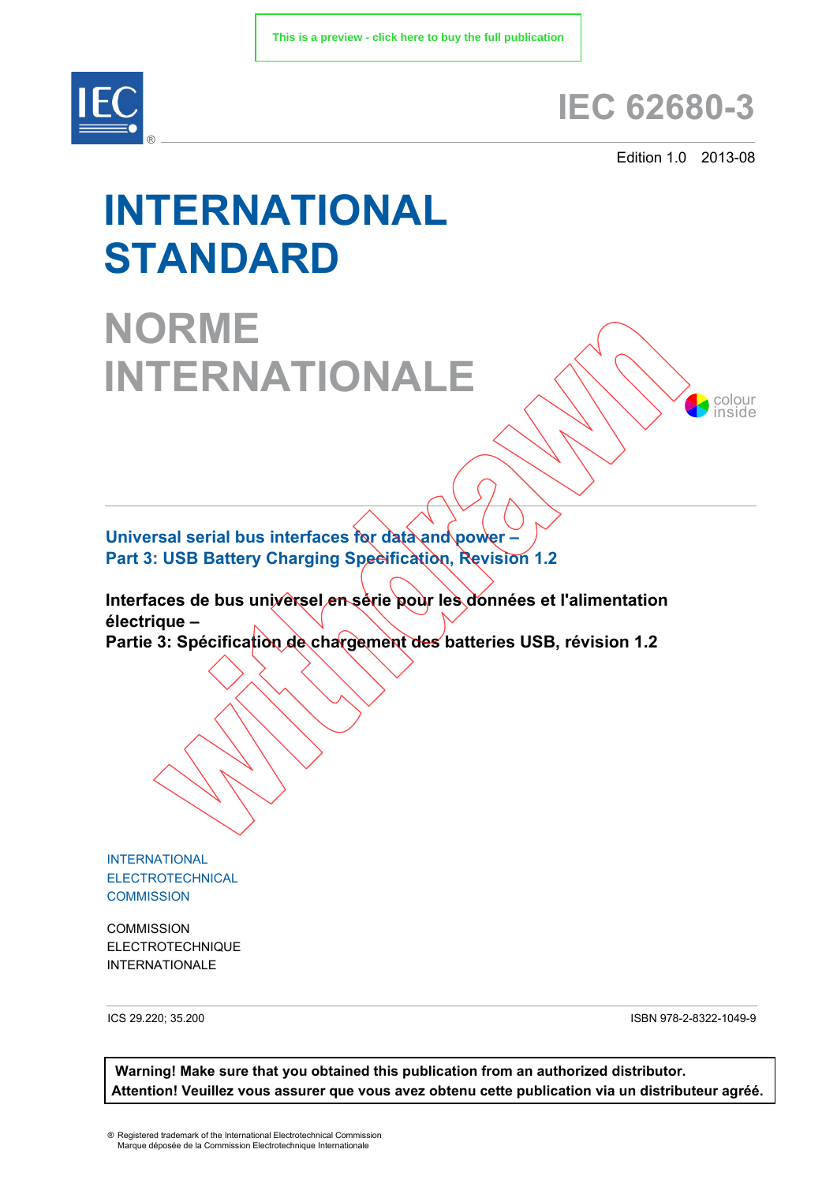

# **IEC 62680-3**

Edition 1.0 2013-08

colour inside

# **INTERNATIONAL STANDARD**

**NORME INTERNATIONALE**



**Interfaces de bus universel en série pour les données et l'alimentation électrique –** 

**Partie 3: Spécification de chargement des batteries USB, révision 1.2**

INTERNATIONAL ELECTROTECHNICAL **COMMISSION** 

**COMMISSION** ELECTROTECHNIQUE INTERNATIONALE

ICS 29.220; 35.200

ISBN 978-2-8322-1049-9

**Warning! Make sure that you obtained this publication from an authorized distributor. Attention! Veuillez vous assurer que vous avez obtenu cette publication via un distributeur agréé.**

® Registered trademark of the International Electrotechnical Commission Marque déposée de la Commission Electrotechnique Internationale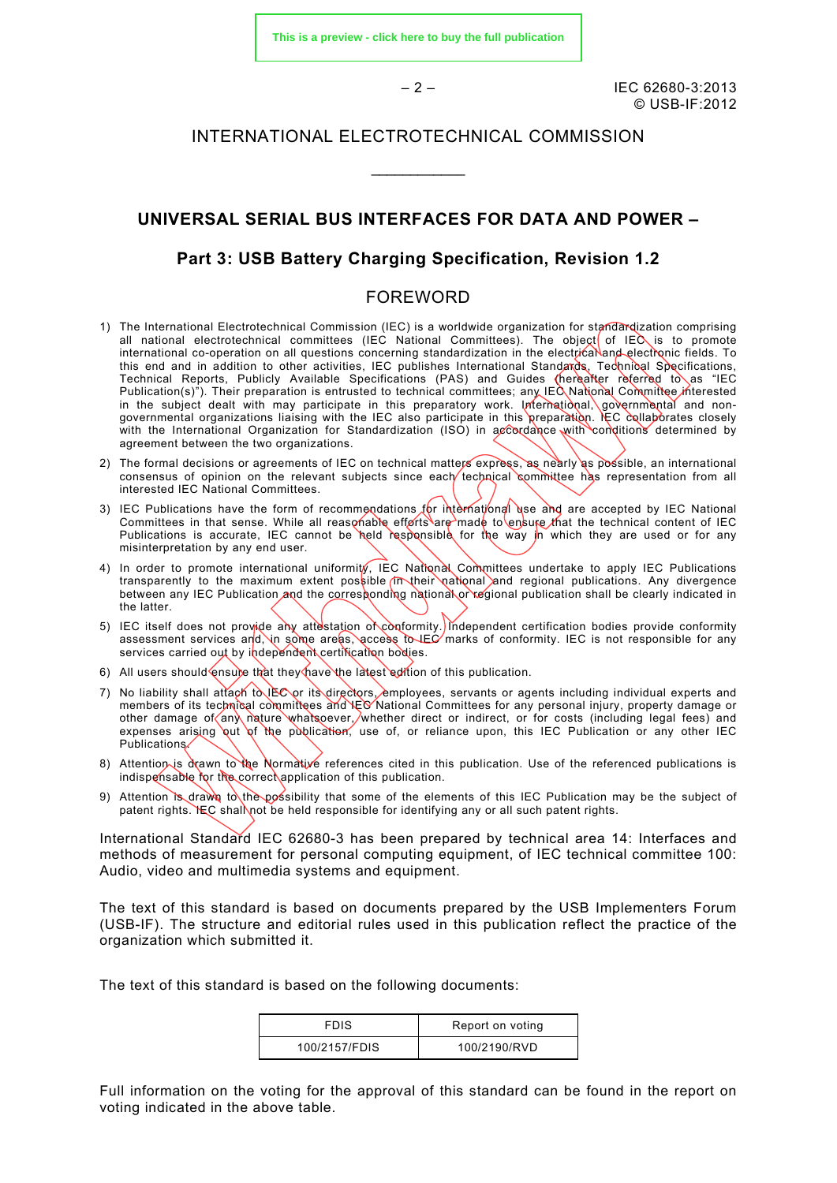$-2 - 1$  IEC 62680-3:2013 © USB-IF:2012

#### INTERNATIONAL ELECTROTECHNICAL COMMISSION

\_\_\_\_\_\_\_\_\_\_\_\_

#### **UNIVERSAL SERIAL BUS INTERFACES FOR DATA AND POWER –**

#### **Part 3: USB Battery Charging Specification, Revision 1.2**

#### FOREWORD

- 1) The International Electrotechnical Commission (IEC) is a worldwide organization for standardization comprising all national electrotechnical committees (IEC National Committees). The object( of IEC is to promote international co-operation on all questions concerning standardization in the electricaNand electronic fields. To this end and in addition to other activities, IEC publishes International Standards, Technical Specifications, Technical Reports, Publicly Available Specifications (PAS) and Guides (hereafter referred to as "IEC Publication(s)"). Their preparation is entrusted to technical committees; any IEQ National Committee interested in the subject dealt with may participate in this preparatory work. International, governmental and nongovernmental organizations liaising with the IEC also participate in this preparàtiòn. IEC collabórates closely with the International Organization for Standardization (ISO) in accordance with conditions determined by agreement between the two organizations.
- 2) The formal decisions or agreements of IEC on technical matters express, as nearly as possible, an international consensus of opinion on the relevant subjects since each technical committee has representation from all interested IEC National Committees.
- 3) IEC Publications have the form of recommendations for international use and are accepted by IEC National Committees in that sense. While all reasonable efforts are made to ensure that the technical content of IEC Publications is accurate, IEC cannot be held responsible for the way  $\|\cdot\|$  which they are used or for any misinterpretation by any end user.
- 4) In order to promote international uniformity, IEC National Committees undertake to apply IEC Publications transparently to the maximum extent possible *in* their national and regional publications. Any divergence between any IEC Publication and the corresponding national or regional publication shall be clearly indicated in the latter.
- 5) IEC itself does not provide any attestation of conformity. Independent certification bodies provide conformity assessment services and, in some areas, access to IEC marks of conformity. IEC is not responsible for any services carried out by independent certification bodies.
- 6) All users should ensure that they have the latest edition of this publication.
- 7) No liability shall attach to IEC or its directors, employees, servants or agents including individual experts and members of its technical committees and IEC National Committees for any personal injury, property damage or other damage of $\langle$ any nature whatsoever, /whether direct or indirect, or for costs (including legal fees) and expenses arising out of the publication, use of, or reliance upon, this IEC Publication or any other IEC Publications.
- 8) Attention is drawn to the Normative references cited in this publication. Use of the referenced publications is indispensable for the correct application of this publication.
- 9) Attention is drawn to the possibility that some of the elements of this IEC Publication may be the subject of patent rights. IEC shall not be held responsible for identifying any or all such patent rights.

International Standard IEC 62680-3 has been prepared by technical area 14: Interfaces and methods of measurement for personal computing equipment, of IEC technical committee 100: Audio, video and multimedia systems and equipment.

The text of this standard is based on documents prepared by the USB Implementers Forum (USB-IF). The structure and editorial rules used in this publication reflect the practice of the organization which submitted it.

The text of this standard is based on the following documents:

| FDIS          | Report on voting |
|---------------|------------------|
| 100/2157/FDIS | 100/2190/RVD     |

Full information on the voting for the approval of this standard can be found in the report on voting indicated in the above table.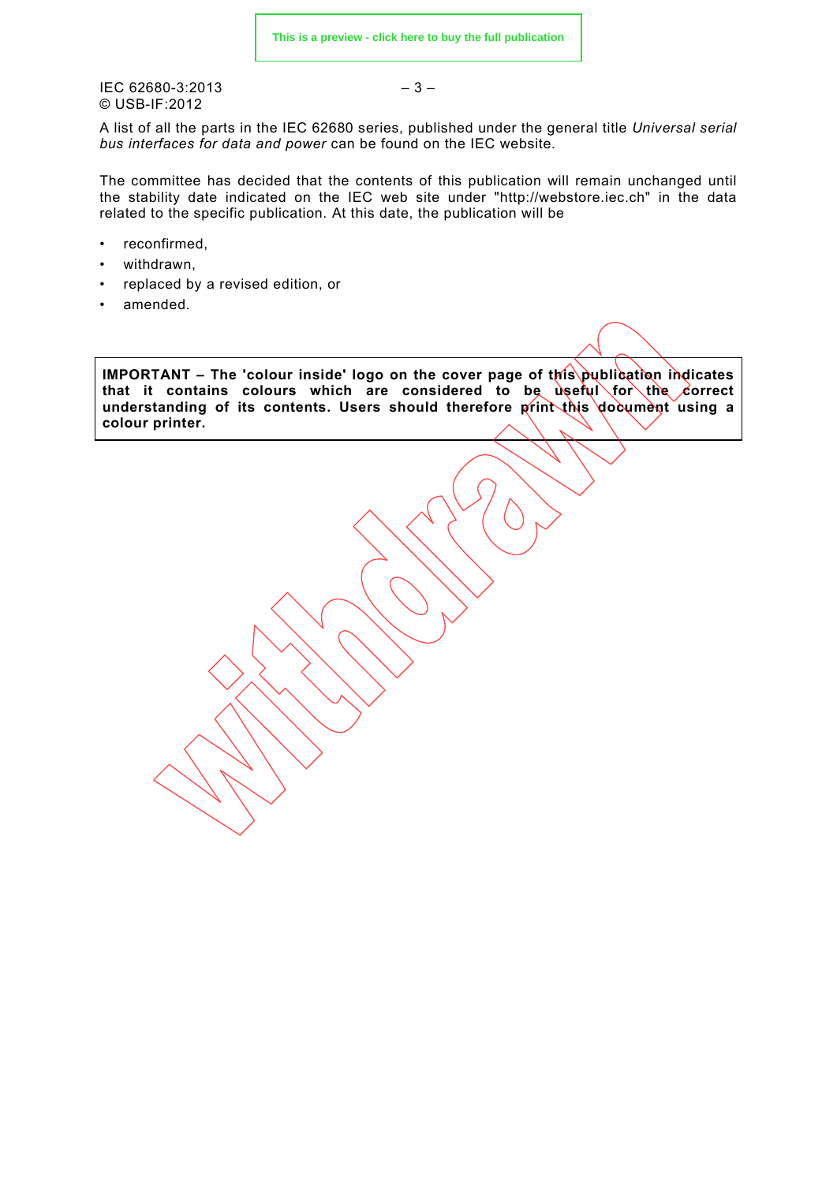$\text{IEC } 62680 - 3:2013$  – 3 – © USB-IF:2012

A list of all the parts in the IEC 62680 series, published under the general title *Universal serial bus interfaces for data and power* can be found on the IEC website.

The committee has decided that the contents of this publication will remain unchanged until the stability date indicated on the IEC web site under "http://webstore.iec.ch" in the data related to the specific publication. At this date, the publication will be

- reconfirmed,
- withdrawn,
- replaced by a revised edition, or
- amended.

**IMPORTANT – The 'colour inside' logo on the cover page of this publication indicates**  that it contains colours which are considered to be useful for the correct understanding of its contents. Users should therefore print this document using a **colour printer.**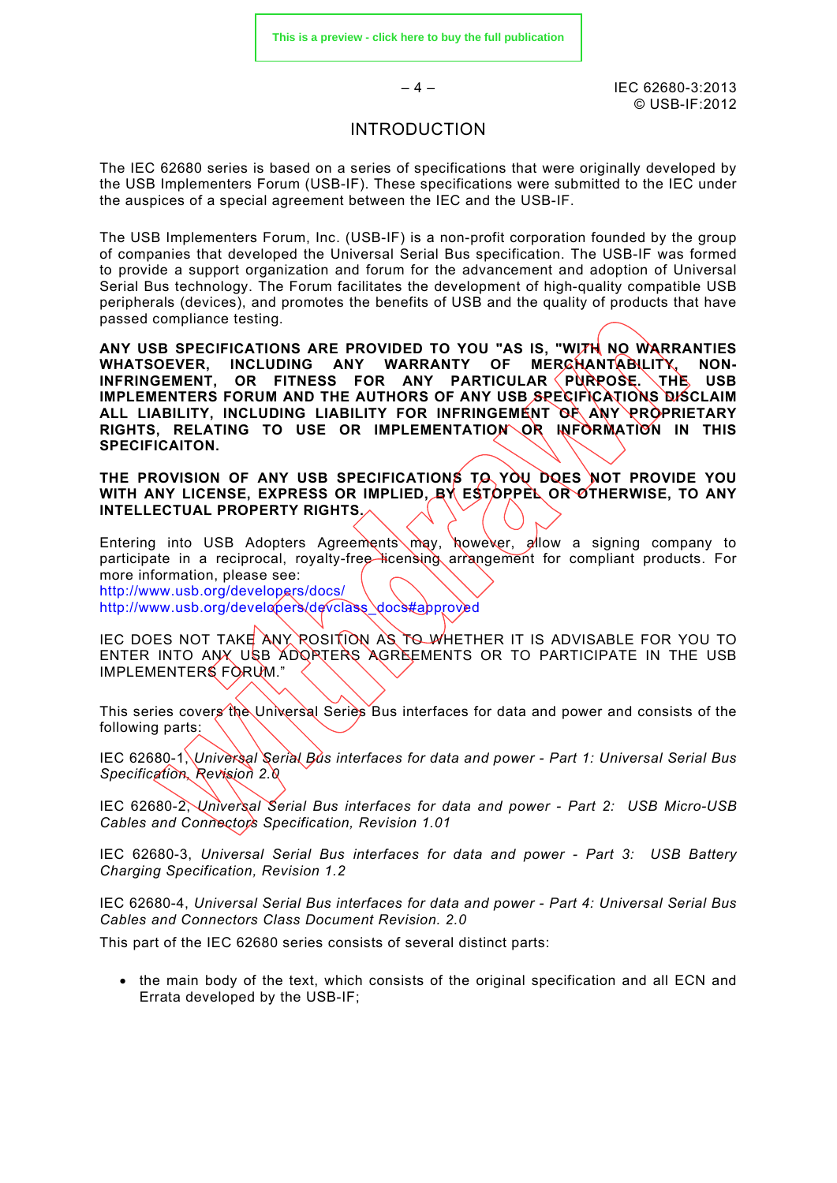$-4 -$  IEC 62680-3:2013 © USB-IF:2012

#### INTRODUCTION

The IEC 62680 series is based on a series of specifications that were originally developed by the USB Implementers Forum (USB-IF). These specifications were submitted to the IEC under the auspices of a special agreement between the IEC and the USB-IF.

The USB Implementers Forum, Inc. (USB-IF) is a non-profit corporation founded by the group of companies that developed the Universal Serial Bus specification. The USB-IF was formed to provide a support organization and forum for the advancement and adoption of Universal Serial Bus technology. The Forum facilitates the development of high-quality compatible USB peripherals (devices), and promotes the benefits of USB and the quality of products that have passed compliance testing.

**ANY USB SPECIFICATIONS ARE PROVIDED TO YOU "AS IS, "WITH NO WARRANTIES**  WHATSOEVER, INCLUDING ANY WARRANTY OF MERCHANTABILITY, NON-INFRINGEMENT, OR FITNESS FOR ANY PARTICULAR PURPOSE. THE USB **IMPLEMENTERS FORUM AND THE AUTHORS OF ANY USB SPECIFICATIONS DISCLAIM ALL LIABILITY, INCLUDING LIABILITY FOR INFRINGEMENT OF ANY PROPRIETARY RIGHTS, RELATING TO USE OR IMPLEMENTATION OR INFORMATION IN THIS SPECIFICAITON.**

**THE PROVISION OF ANY USB SPECIFICATIONS TO YOU DOES NOT PROVIDE YOU**  WITH ANY LICENSE, EXPRESS OR IMPLIED, BY ESTOPPEL OR OTHERWISE, TO ANY **INTELLECTUAL PROPERTY RIGHTS.**

Entering into USB Adopters Agreements may, however, allow a signing company to participate in a reciprocal, royalty-free licensing arrangement for compliant products. For more information, please see: <http://www.usb.org/developers/docs/> [http://www.usb.org/developers/devclass\\_docs#approved](http://www.usb.org/developers/devclass_docs#approved)

IEC DOES NOT TAKE ANY POSITION AS TO WHETHER IT IS ADVISABLE FOR YOU TO ENTER INTO ANY USB ADOPTERS AGREEMENTS OR TO PARTICIPATE IN THE USB IMPLEMENTERS FORUM."

This series covers the Universal Series Bus interfaces for data and power and consists of the following parts:

IEC 62680-1, *Universal Serial Bus interfaces for data and power - Part 1: Universal Serial Bus Specification, Revision 2.0*

IEC 62680-2, *Universal Serial Bus interfaces for data and power - Part 2: USB Micro-USB Cables and Connectors Specification, Revision 1.01*

IEC 62680-3, *Universal Serial Bus interfaces for data and power - Part 3: USB Battery Charging Specification, Revision 1.2*

IEC 62680-4, *Universal Serial Bus interfaces for data and power - Part 4: Universal Serial Bus Cables and Connectors Class Document Revision. 2.0*

This part of the IEC 62680 series consists of several distinct parts:

• the main body of the text, which consists of the original specification and all ECN and Errata developed by the USB-IF;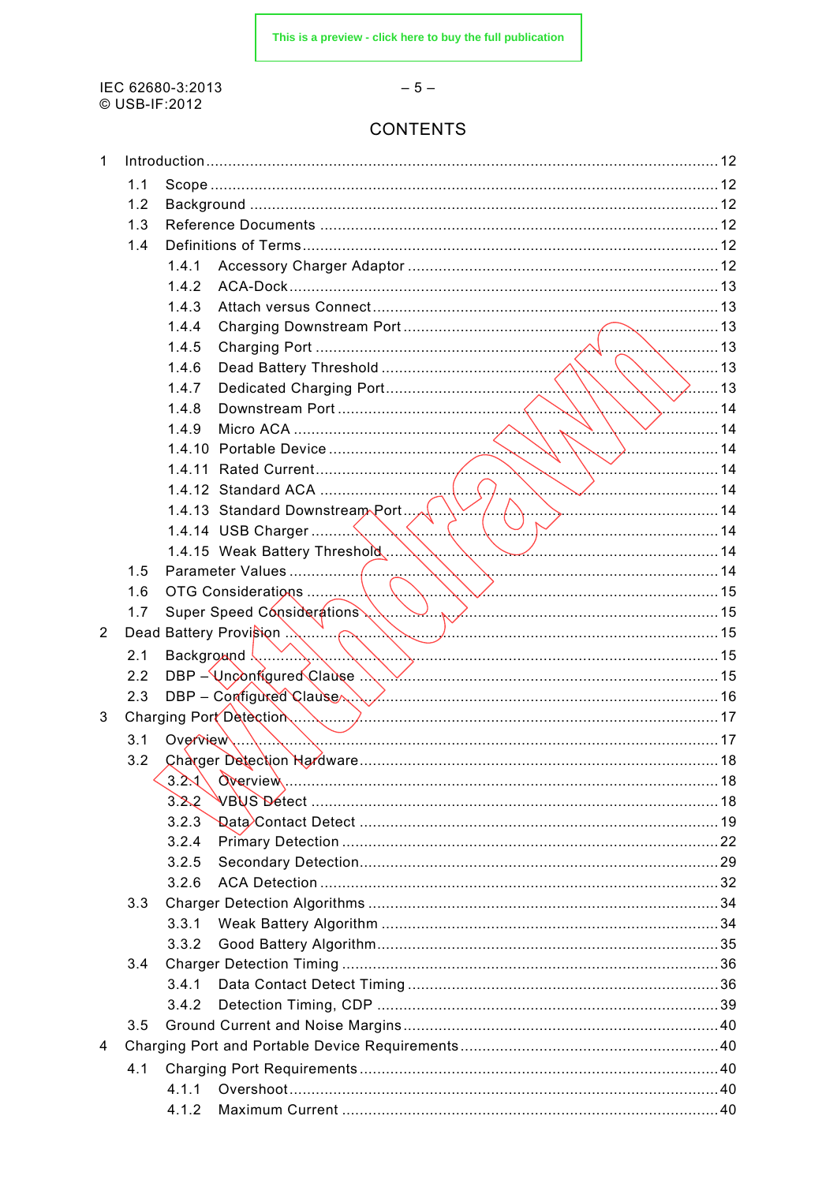IEC 62680-3:2013 © USB-IF:2012

#### $-5-$

### **CONTENTS**

| 1   |     |                                                                                               |  |  |
|-----|-----|-----------------------------------------------------------------------------------------------|--|--|
|     | 1.1 |                                                                                               |  |  |
|     | 1.2 |                                                                                               |  |  |
|     | 1.3 |                                                                                               |  |  |
| 1.4 |     |                                                                                               |  |  |
|     |     | 1.4.1                                                                                         |  |  |
|     |     | 1.4.2                                                                                         |  |  |
|     |     | 1.4.3                                                                                         |  |  |
|     |     | 1.4.4                                                                                         |  |  |
|     |     | 1.4.5                                                                                         |  |  |
|     |     | 1.4.6<br>$\ldots$ 13                                                                          |  |  |
|     |     | 1.4.7<br>$\ldots$ 213                                                                         |  |  |
|     |     | 1.4.8                                                                                         |  |  |
|     |     | 1.4.9<br>. 14                                                                                 |  |  |
|     |     |                                                                                               |  |  |
|     |     |                                                                                               |  |  |
|     |     | $\sim$ 14                                                                                     |  |  |
|     |     | 1.4.13 Standard Downstream Port<br>$\left\langle \left\langle \right\rangle \right\rangle$ 14 |  |  |
|     |     | $\cup$ $\sim$                                                                                 |  |  |
|     |     |                                                                                               |  |  |
|     | 1.5 |                                                                                               |  |  |
|     | 1.6 |                                                                                               |  |  |
|     | 1.7 |                                                                                               |  |  |
| 2   |     |                                                                                               |  |  |
|     | 2.1 |                                                                                               |  |  |
|     | 2.2 | DBP - Unconfigured Clause Manuscript Clause 15                                                |  |  |
|     | 2.3 |                                                                                               |  |  |
| 3   |     |                                                                                               |  |  |
|     | 3.1 | Overview                                                                                      |  |  |
|     | 3.2 |                                                                                               |  |  |
|     |     |                                                                                               |  |  |
|     |     | 3.22                                                                                          |  |  |
|     |     | 3.2.3                                                                                         |  |  |
|     |     | 3.2.4                                                                                         |  |  |
|     |     | 3.2.5                                                                                         |  |  |
|     |     | 3.2.6                                                                                         |  |  |
|     | 3.3 |                                                                                               |  |  |
|     |     | 3.3.1                                                                                         |  |  |
|     |     | 3.3.2                                                                                         |  |  |
|     | 3.4 |                                                                                               |  |  |
|     |     | 3.4.1                                                                                         |  |  |
|     |     | 3.4.2                                                                                         |  |  |
|     | 3.5 |                                                                                               |  |  |
| 4   |     |                                                                                               |  |  |
|     | 4.1 |                                                                                               |  |  |
|     |     | 4.1.1                                                                                         |  |  |
|     |     | 4.1.2                                                                                         |  |  |
|     |     |                                                                                               |  |  |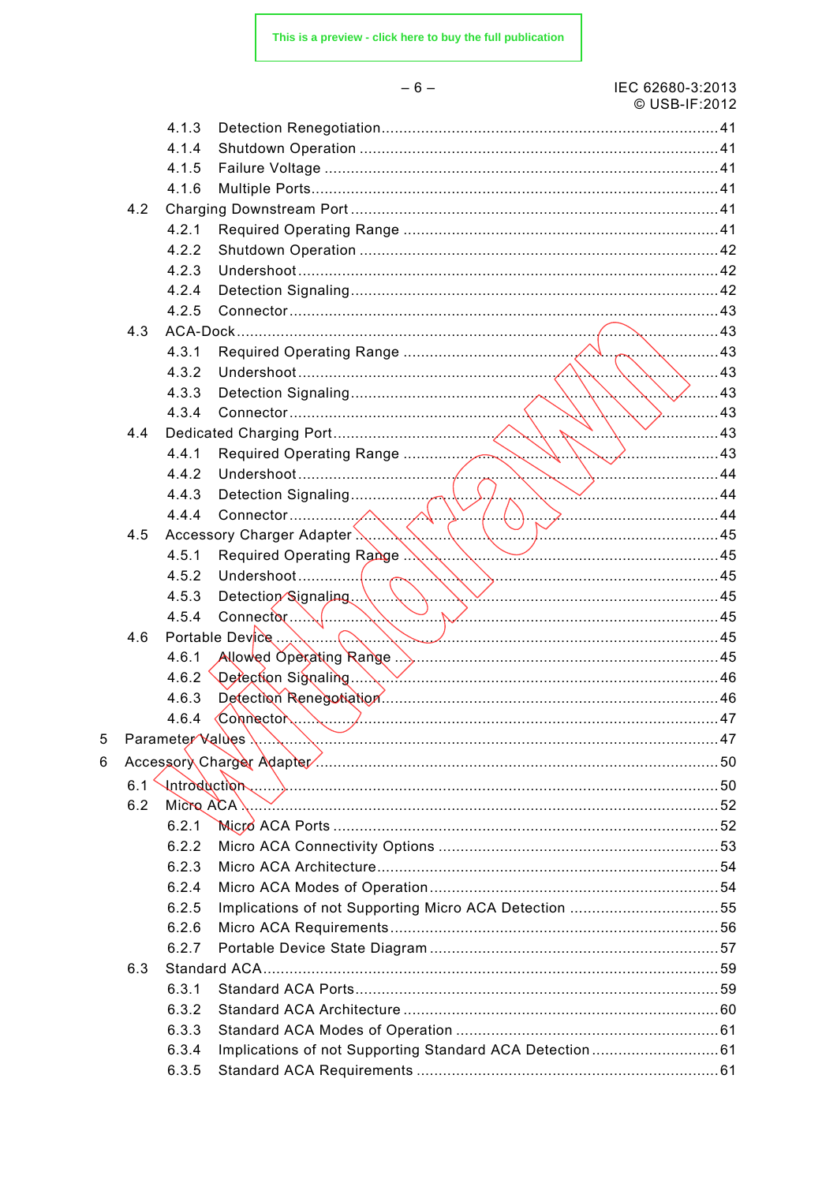## IEC 62680-3:2013

| × |  |
|---|--|
|---|--|

|     |       |                                                                | © USB-IF:2012          |
|-----|-------|----------------------------------------------------------------|------------------------|
|     | 4.1.3 |                                                                |                        |
|     | 4.1.4 |                                                                |                        |
|     | 4.1.5 |                                                                |                        |
|     | 4.1.6 |                                                                |                        |
| 4.2 |       |                                                                |                        |
|     | 4.2.1 |                                                                |                        |
|     | 4.2.2 |                                                                |                        |
|     | 4.2.3 |                                                                |                        |
|     | 4.2.4 |                                                                |                        |
|     | 4.2.5 |                                                                |                        |
| 4.3 |       |                                                                |                        |
|     | 4.3.1 |                                                                |                        |
|     | 4.3.2 |                                                                | 13. 43                 |
|     | 4.3.3 |                                                                | $\sqrt{1.1111}$        |
|     | 4.3.4 |                                                                | . 43                   |
| 4.4 |       |                                                                | $\ldots$ . $\ldots$ 43 |
|     | 4.4.1 |                                                                |                        |
|     | 4.4.2 |                                                                |                        |
|     | 4.4.3 | $\left(\begin{array}{c} \lambda \\ \lambda \end{array}\right)$ |                        |
|     | 4.4.4 |                                                                |                        |
| 4.5 |       | Accessory Charger Adapter \\                                   |                        |
|     | 4.5.1 | Required Operating Range                                       |                        |
|     | 4.5.2 | Undershoot                                                     |                        |
|     | 4.5.3 |                                                                |                        |
|     | 4.5.4 |                                                                |                        |
| 4.6 |       | 45                                                             |                        |
|     | 4.6.1 |                                                                |                        |
|     | 4.6.2 | Defection Signaling                                            |                        |
|     | 4.6.3 |                                                                |                        |
|     | 4.6.4 |                                                                |                        |
|     |       | Parameter Values \ \                                           |                        |
|     |       |                                                                |                        |
| 6.1 |       |                                                                |                        |
|     |       |                                                                |                        |
| 6.2 |       |                                                                |                        |
|     | 6.2.1 |                                                                |                        |
|     | 6.2.2 |                                                                |                        |
|     | 6.2.3 |                                                                |                        |
|     | 6.2.4 |                                                                |                        |
|     | 6.2.5 | Implications of not Supporting Micro ACA Detection 55          |                        |
|     | 6.2.6 |                                                                |                        |
|     | 6.2.7 |                                                                |                        |
| 6.3 |       |                                                                |                        |
|     | 6.3.1 |                                                                |                        |
|     | 6.3.2 |                                                                |                        |
|     | 6.3.3 |                                                                |                        |
|     | 6.3.4 |                                                                |                        |
|     | 6.3.5 |                                                                |                        |

5  $\,6\,$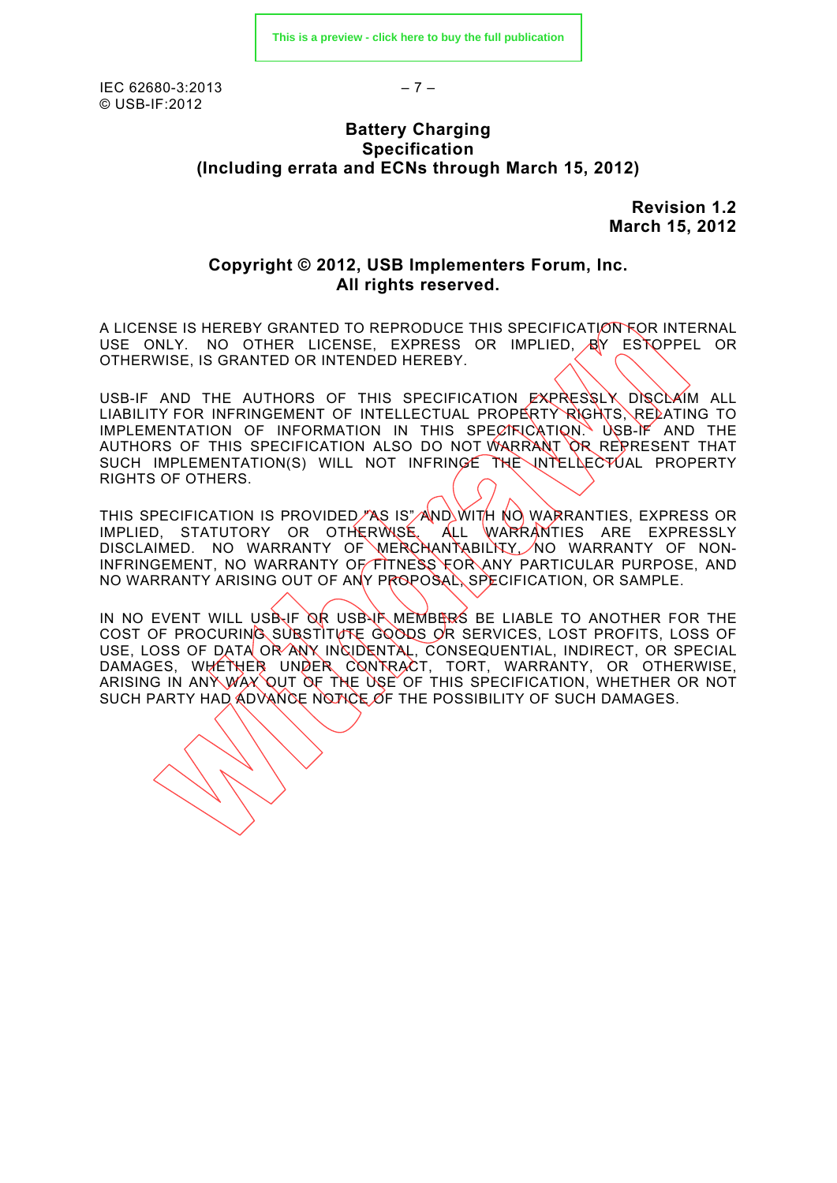IEC 62680-3:2013 – 7 – © USB-IF:2012

#### **Battery Charging Specification (Including errata and ECNs through March 15, 2012)**

**Revision 1.2 March 15, 2012** 

#### **Copyright © 2012, USB Implementers Forum, Inc. All rights reserved.**

A LICENSE IS HEREBY GRANTED TO REPRODUCE THIS SPECIFICATION FOR INTERNAL USE ONLY. NO OTHER LICENSE, EXPRESS OR IMPLIED, BY ESTOPPEL OR OTHERWISE, IS GRANTED OR INTENDED HEREBY.

USB-IF AND THE AUTHORS OF THIS SPECIFICATION EXPRESSLY DISCLAIM ALL LIABILITY FOR INFRINGEMENT OF INTELLECTUAL PROPERTY RIGHTS, RELATING TO IMPLEMENTATION OF INFORMATION IN THIS SPECIFICATION. USB-IF AND THE AUTHORS OF THIS SPECIFICATION ALSO DO NOT WARRANT OR REPRESENT THAT SUCH IMPLEMENTATION(S) WILL NOT INFRINGE THE INTELLECTUAL PROPERTY RIGHTS OF OTHERS.

THIS SPECIFICATION IS PROVIDED AS IS AND WITH NO WARRANTIES, EXPRESS OR<br>IMPLIED. STATUTORY OR OTHERWISE. ALL WARRANTIES ARE EXPRESSLY IMPLIED, STATUTORY OR OTHERWISE. DISCLAIMED. NO WARRANTY OF MERCHANTABILITY NO WARRANTY OF NON-INFRINGEMENT, NO WARRANTY OF FITNESS FOR ANY PARTICULAR PURPOSE, AND NO WARRANTY ARISING OUT OF ANY PROPOSAL, SPECIFICATION, OR SAMPLE.

IN NO EVENT WILL USB-IF OR USB-IF MEMBERS BE LIABLE TO ANOTHER FOR THE COST OF PROCURING SUBSTITUTE GOODS OR SERVICES, LOST PROFITS, LOSS OF USE, LOSS OF DATA OR ANY INCIDENTAL, CONSEQUENTIAL, INDIRECT, OR SPECIAL DAMAGES, WHETHER UNDER CONTRACT, TORT, WARRANTY, OR OTHERWISE, ARISING IN ANY WAY OUT OF THE USE OF THIS SPECIFICATION, WHETHER OR NOT SUCH PARTY HAD ADVANCE NOTICE OF THE POSSIBILITY OF SUCH DAMAGES.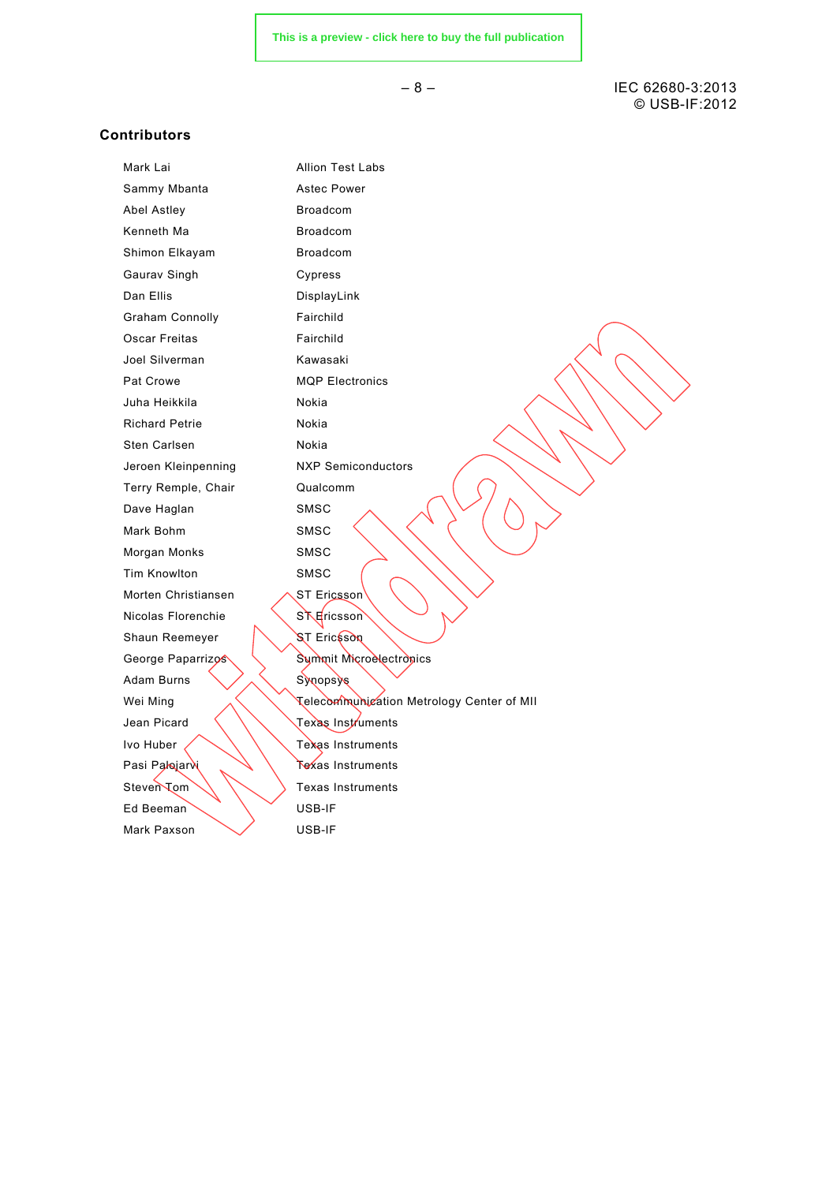– 8 – IEC 62680-3:2013 © USB-IF:2012

#### **Contributors**

| Mark Lai               | <b>Allion Test Labs</b>                   |
|------------------------|-------------------------------------------|
| Sammy Mbanta           | Astec Power                               |
| Abel Astley            | <b>Broadcom</b>                           |
| Kenneth Ma             | Broadcom                                  |
| Shimon Elkayam         | <b>Broadcom</b>                           |
| Gaurav Singh           | Cypress                                   |
| Dan Ellis              | DisplayLink                               |
| <b>Graham Connolly</b> | Fairchild                                 |
| <b>Oscar Freitas</b>   | Fairchild                                 |
| Joel Silverman         | Kawasaki                                  |
| Pat Crowe              | <b>MQP Electronics</b>                    |
| Juha Heikkila          | Nokia                                     |
| <b>Richard Petrie</b>  | Nokia                                     |
| Sten Carlsen           | Nokia                                     |
| Jeroen Kleinpenning    | <b>NXP Semiconductors</b>                 |
| Terry Remple, Chair    | Qualcomm                                  |
| Dave Haglan            | <b>SMSC</b>                               |
| Mark Bohm              | <b>SMSC</b>                               |
| Morgan Monks           | <b>SMSC</b>                               |
| <b>Tim Knowlton</b>    | <b>SMSC</b>                               |
| Morten Christiansen    | ST Ericsson                               |
| Nicolas Florenchie     | <b>ST</b> ricsson                         |
| Shaun Reemeyer         | <b>ST Ericsson</b>                        |
| George Paparrizos      | Summit Microelectronics                   |
| <b>Adam Burns</b>      | Synopsys                                  |
| Wei Ming               | Telecommunication Metrology Center of MII |
| Jean Picard            | Texas Instruments                         |
| Ivo Huber              | Texas Instruments                         |
| Pasi Palojarvi         | Texas Instruments                         |
| Steven Tom             | <b>Texas Instruments</b>                  |
| Ed Beeman              | USB-IF                                    |
| Mark Paxson            | USB-IF                                    |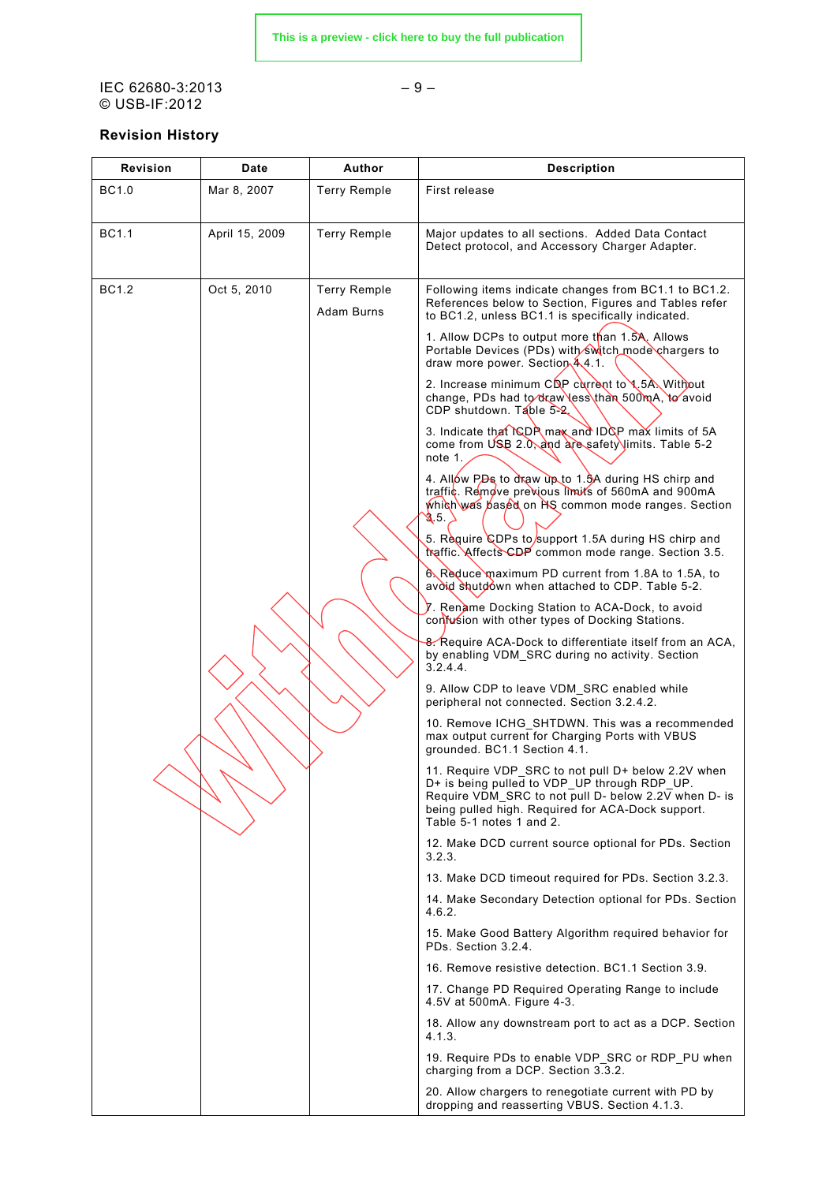IEC 62680-3:2013 – 9 – © USB-IF:2012

#### **Revision History**

| <b>Revision</b> | Date           | Author                            | <b>Description</b>                                                                                                                                                                                                                          |
|-----------------|----------------|-----------------------------------|---------------------------------------------------------------------------------------------------------------------------------------------------------------------------------------------------------------------------------------------|
| <b>BC1.0</b>    | Mar 8, 2007    | <b>Terry Remple</b>               | First release                                                                                                                                                                                                                               |
| BC1.1           | April 15, 2009 | <b>Terry Remple</b>               | Major updates to all sections. Added Data Contact<br>Detect protocol, and Accessory Charger Adapter.                                                                                                                                        |
| BC1.2           | Oct 5, 2010    | <b>Terry Remple</b><br>Adam Burns | Following items indicate changes from BC1.1 to BC1.2.<br>References below to Section, Figures and Tables refer<br>to BC1.2, unless BC1.1 is specifically indicated.                                                                         |
|                 |                |                                   | 1. Allow DCPs to output more than 1.5A, Allows<br>Portable Devices (PDs) with switch mode chargers to<br>draw more power. Section 4.4.1.                                                                                                    |
|                 |                |                                   | 2. Increase minimum CDP current to \5A\Without<br>change, PDs had to draw less than 500mA, to avoid<br>CDP shutdown. Table 5-2.                                                                                                             |
|                 |                |                                   | 3. Indicate that ICDP max and IDCP max limits of 5A<br>come from USB 2.0, and are safety limits. Table 5-2<br>note 1.                                                                                                                       |
|                 |                |                                   | 4. Allow PDs to draw up to 1.5A during HS chirp and<br>traffic. Remove previous limits of 560mA and 900mA<br>which was based on HS common mode ranges. Section                                                                              |
|                 |                |                                   | $\mathcal{A}$ 5.<br>5. Require CDPs to/support 1.5A during HS chirp and<br>traffic. Affects CDP common mode range. Section 3.5.                                                                                                             |
|                 |                |                                   | 6. Reduce maximum PD current from 1.8A to 1.5A, to<br>avoid shutdown when attached to CDP. Table 5-2.                                                                                                                                       |
|                 |                |                                   | 7. Rename Docking Station to ACA-Dock, to avoid<br>confusion with other types of Docking Stations.                                                                                                                                          |
|                 |                |                                   | 8. Require ACA-Dock to differentiate itself from an ACA,<br>by enabling VDM_SRC during no activity. Section<br>3.2.4.4.                                                                                                                     |
|                 |                |                                   | 9. Allow CDP to leave VDM_SRC enabled while<br>peripheral not connected. Section 3.2.4.2.                                                                                                                                                   |
|                 |                |                                   | 10. Remove ICHG SHTDWN. This was a recommended<br>max output current for Charging Ports with VBUS<br>grounded. BC1.1 Section 4.1.                                                                                                           |
|                 |                |                                   | 11. Require VDP SRC to not pull D+ below 2.2V when<br>D+ is being pulled to VDP_UP through RDP_UP.<br>Require VDM_SRC to not pull D- below 2.2V when D- is<br>being pulled high. Required for ACA-Dock support.<br>Table 5-1 notes 1 and 2. |
|                 |                |                                   | 12. Make DCD current source optional for PDs. Section<br>3.2.3.                                                                                                                                                                             |
|                 |                |                                   | 13. Make DCD timeout required for PDs. Section 3.2.3.                                                                                                                                                                                       |
|                 |                |                                   | 14. Make Secondary Detection optional for PDs. Section<br>4.6.2.                                                                                                                                                                            |
|                 |                |                                   | 15. Make Good Battery Algorithm required behavior for<br>PDs. Section 3.2.4.                                                                                                                                                                |
|                 |                |                                   | 16. Remove resistive detection. BC1.1 Section 3.9.                                                                                                                                                                                          |
|                 |                |                                   | 17. Change PD Required Operating Range to include<br>4.5V at 500mA. Figure 4-3.                                                                                                                                                             |
|                 |                |                                   | 18. Allow any downstream port to act as a DCP. Section<br>4.1.3.                                                                                                                                                                            |
|                 |                |                                   | 19. Require PDs to enable VDP_SRC or RDP_PU when<br>charging from a DCP. Section 3.3.2.                                                                                                                                                     |
|                 |                |                                   | 20. Allow chargers to renegotiate current with PD by<br>dropping and reasserting VBUS. Section 4.1.3.                                                                                                                                       |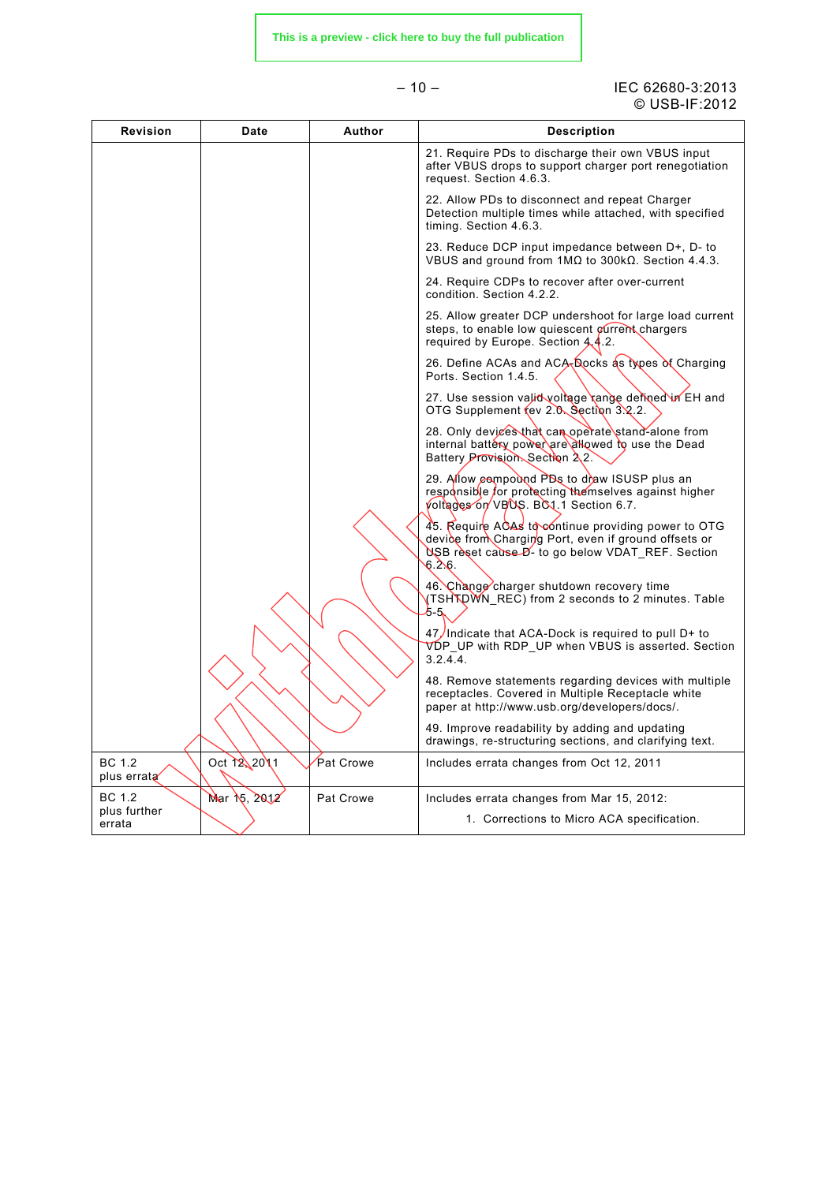– 10 – IEC 62680-3:2013 © USB-IF:2012

| <b>Revision</b>        | Date         | Author    | <b>Description</b>                                                                                                                                                       |
|------------------------|--------------|-----------|--------------------------------------------------------------------------------------------------------------------------------------------------------------------------|
|                        |              |           | 21. Require PDs to discharge their own VBUS input<br>after VBUS drops to support charger port renegotiation<br>request. Section 4.6.3.                                   |
|                        |              |           | 22. Allow PDs to disconnect and repeat Charger<br>Detection multiple times while attached, with specified<br>timing. Section 4.6.3.                                      |
|                        |              |           | 23. Reduce DCP input impedance between D+, D- to<br>VBUS and ground from $1M\Omega$ to $300k\Omega$ . Section 4.4.3.                                                     |
|                        |              |           | 24. Require CDPs to recover after over-current<br>condition. Section 4.2.2.                                                                                              |
|                        |              |           | 25. Allow greater DCP undershoot for large load current<br>steps, to enable low quiescent current chargers<br>required by Europe. Section $4.4.2$ .                      |
|                        |              |           | 26. Define ACAs and ACA Docks as types of Charging<br>Ports. Section 1.4.5.                                                                                              |
|                        |              |           | 27. Use session valid voltage range defined in EH and<br>OTG Supplement fev 2.0 Section 3.2.2.                                                                           |
|                        |              |           | 28. Only devices that can operate stand-alone from<br>internal battery power are allowed to use the Dead<br>Battery Provision Section 2.2.                               |
|                        |              |           | 29. Allow compound PDs to draw ISUSP plus an<br>responsible for protecting themselves against higher<br>voltages on VBUS. BC1.1 Section 6.7.                             |
|                        |              |           | 45. Require ACAs to continue providing power to OTG<br>device from Charging Port, even if ground offsets or<br>USB reset cause D- to go below VDAT REF. Section<br>6.26. |
|                        |              |           | 46. Change charger shutdown recovery time<br>(TSHTOWN REC) from 2 seconds to 2 minutes. Table<br>ゟ‐5、                                                                    |
|                        |              |           | 47/Indicate that ACA-Dock is required to pull D+ to<br>VDP UP with RDP UP when VBUS is asserted. Section<br>3.2.4.4.                                                     |
|                        |              |           | 48. Remove statements regarding devices with multiple<br>receptacles. Covered in Multiple Receptacle white<br>paper at http://www.usb.org/developers/docs/.              |
|                        |              |           | 49. Improve readability by adding and updating<br>drawings, re-structuring sections, and clarifying text.                                                                |
| BC 1.2<br>plus errata  | Oct 12 2011  | Pat Crowe | Includes errata changes from Oct 12, 2011                                                                                                                                |
| BC 1.2                 | Mar 15, 2012 | Pat Crowe | Includes errata changes from Mar 15, 2012:                                                                                                                               |
| plus further<br>errata |              |           | 1. Corrections to Micro ACA specification.                                                                                                                               |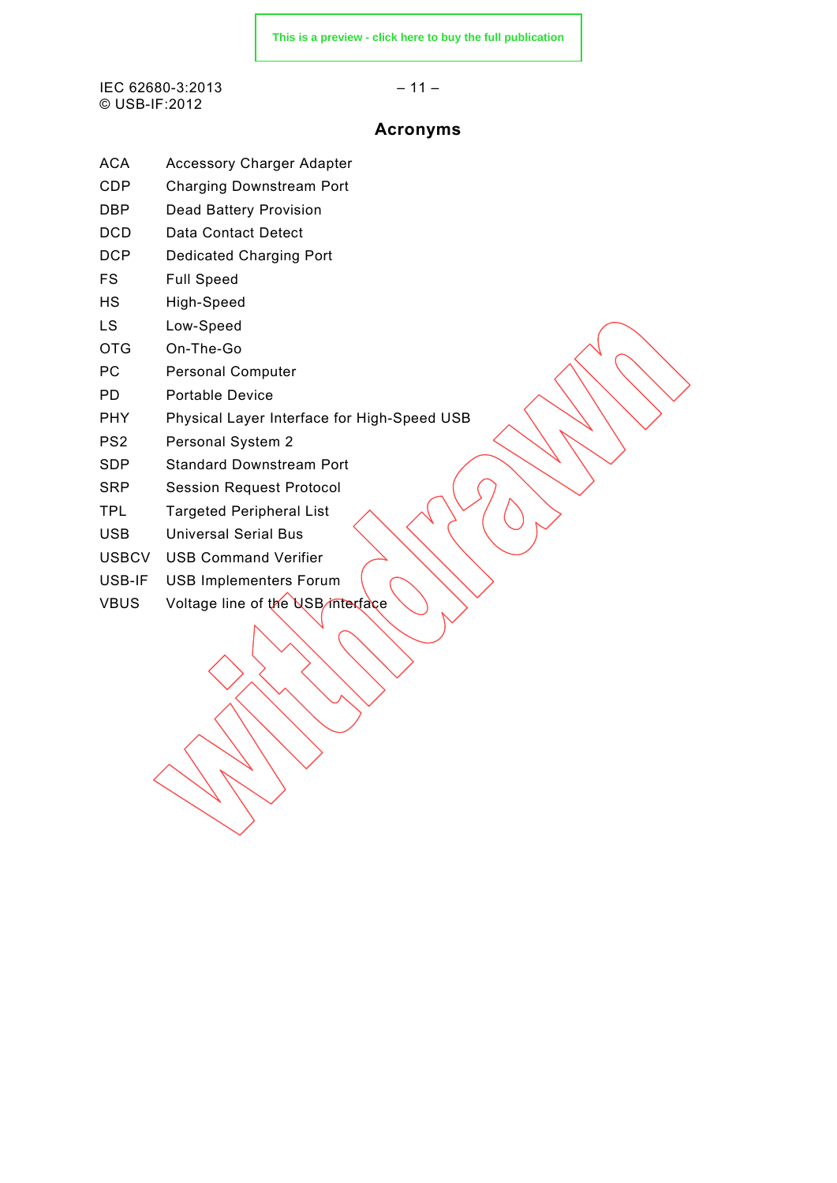IEC 62680-3:2013 – 11 – © USB-IF:2012

#### **Acronyms**

- ACA Accessory Charger Adapter
- CDP Charging Downstream Port
- DBP Dead Battery Provision
- DCD Data Contact Detect
- DCP Dedicated Charging Port
- FS Full Speed
- HS High-Speed
- LS Low-Speed
- OTG On-The-Go
- PC Personal Computer
- PD Portable Device
- PHY Physical Layer Interface for High-Speed USB
- PS2 Personal System 2
- SDP Standard Downstream Port
- SRP Session Request Protocol
- TPL Targeted Peripheral List
- USB Universal Serial Bus
- USBCV USB Command Verifier
- USB-IF USB Implementers Forum
- VBUS Voltage line of the USB interface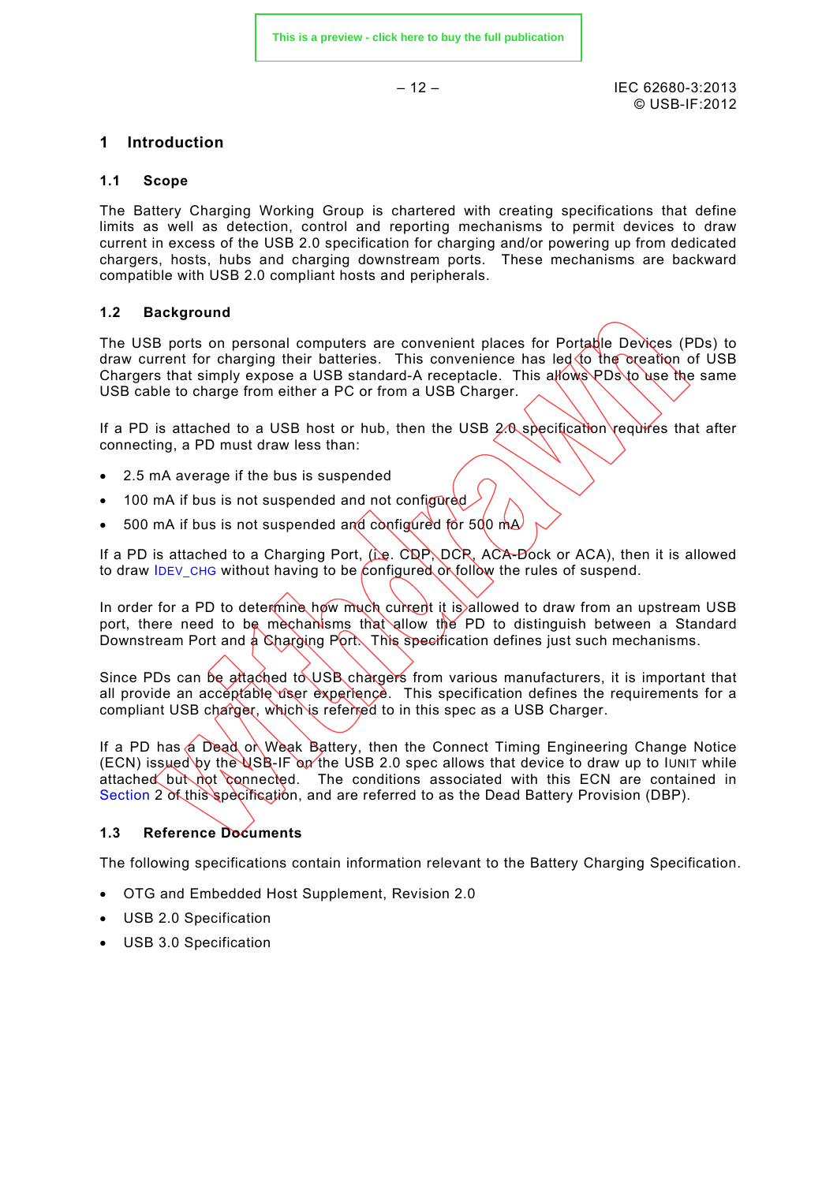$-12 - 12$ © USB-IF:2012

#### **1 Introduction**

#### **1.1 Scope**

The Battery Charging Working Group is chartered with creating specifications that define limits as well as detection, control and reporting mechanisms to permit devices to draw current in excess of the USB 2.0 specification for charging and/or powering up from dedicated chargers, hosts, hubs and charging downstream ports. These mechanisms are backward compatible with USB 2.0 compliant hosts and peripherals.

#### **1.2 Background**

The USB ports on personal computers are convenient places for Portable Devices (PDs) to draw current for charging their batteries. This convenience has led to the creation of USB Chargers that simply expose a USB standard-A receptacle. This allows PDs to use the same USB cable to charge from either a PC or from a USB Charger.

If a PD is attached to a USB host or hub, then the USB  $2.0$  specification requires that after connecting, a PD must draw less than:

- 2.5 mA average if the bus is suspended
- 100 mA if bus is not suspended and not configured
- 500 mA if bus is not suspended and configured for 500 mA

If a PD is attached to a Charging Port,  $(i.e.$  CDP, DCR, ACA-Dock or ACA), then it is allowed to draw IDEV CHG without having to be configured or follow the rules of suspend.

In order for a PD to determine how much current it is allowed to draw from an upstream USB port, there need to be mechanisms that allow the PD to distinguish between a Standard Downstream Port and a Charging Port. This specification defines just such mechanisms.

Since PDs can be attached to USB chargers from various manufacturers, it is important that all provide an acceptable user experience. This specification defines the requirements for a compliant USB charger, which is referred to in this spec as a USB Charger.

If a PD has a Dead of Weak Battery, then the Connect Timing Engineering Change Notice  $(ECN)$  issued by the USB-IF on the USB 2.0 spec allows that device to draw up to IUNIT while attached but not connected. The conditions associated with this ECN are contained in Section 2 of this specification, and are referred to as the Dead Battery Provision (DBP).

#### **1.3 Reference Documents**

The following specifications contain information relevant to the Battery Charging Specification.

- OTG and Embedded Host Supplement, Revision 2.0
- USB 2.0 Specification
- USB 3.0 Specification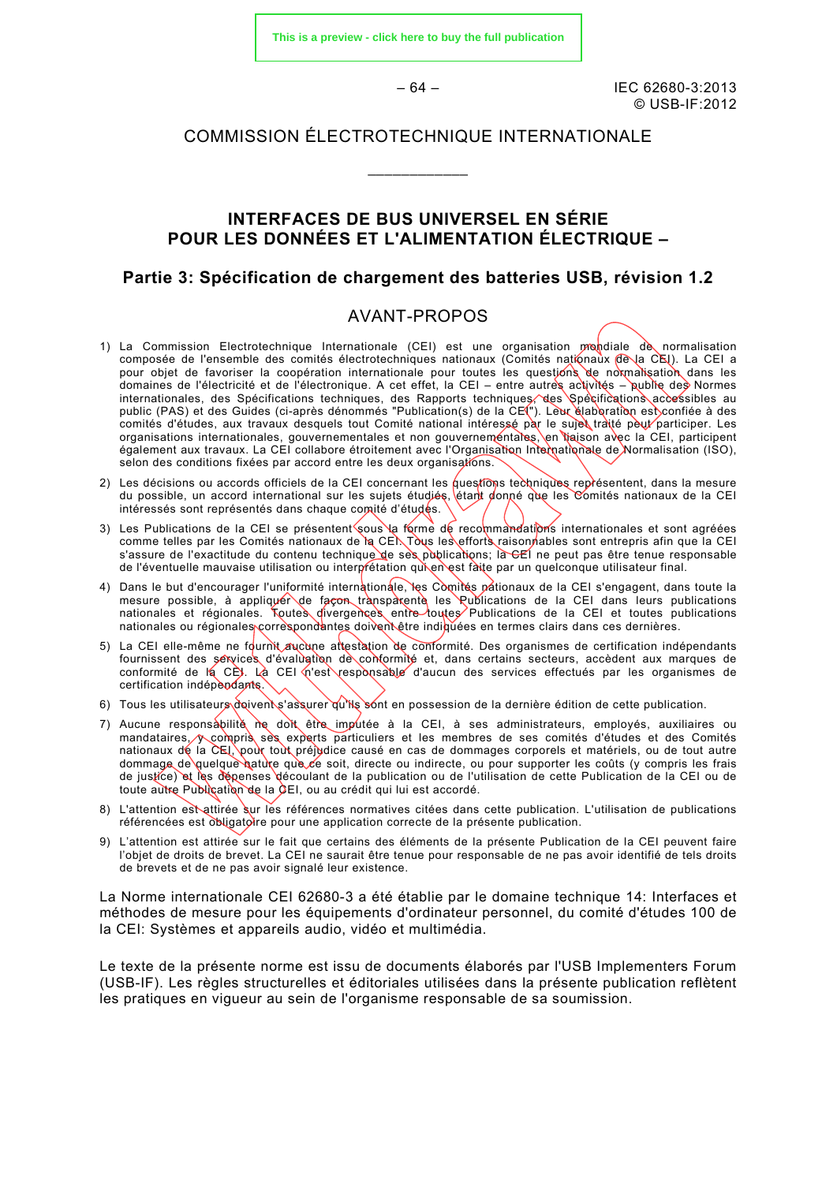– 64 – IEC 62680-3:2013 © USB-IF:2012

### COMMISSION ÉLECTROTECHNIQUE INTERNATIONALE

\_\_\_\_\_\_\_\_\_\_\_\_

#### **INTERFACES DE BUS UNIVERSEL EN SÉRIE POUR LES DONNÉES ET L'ALIMENTATION ÉLECTRIQUE –**

#### **Partie 3: Spécification de chargement des batteries USB, révision 1.2**

#### AVANT-PROPOS

- 1) La Commission Electrotechnique Internationale (CEI) est une organisation mondiale de normalisation composée de l'ensemble des comités électrotechniques nationaux (Comités nationaux de la CEI). La CEI a pour objet de favoriser la coopération internationale pour toutes les questions de normalisation dans les domaines de l'électricité et de l'électronique. A cet effet, la CEI – entre autres activités – publie des Normes internationales, des Spécifications techniques, des Rapports techniques, des Spécifications accessibles au mémationales, est époussaisse termiques, est implementant comme de la CE("). Leur élaboration est confiée à des comités d'études, aux travaux desquels tout Comité national intéressé par le sujet traité peut participer. Les organisations internationales, gouvernementales et non gouvernementales, en liaison avec la CEI, participent également aux travaux. La CEI collabore étroitement avec l'Organisation Internationale de Normalisation (ISO), selon des conditions fixées par accord entre les deux organisations.
- 2) Les décisions ou accords officiels de la CEI concernant les questions techniques représentent, dans la mesure du possible, un accord international sur les sujets étudiés, étant donné que les Comités nationaux de la CEI intéressés sont représentés dans chaque comité d'étudés.
- 3) Les Publications de la CEI se présentent sous la forme de recommandations internationales et sont agréées comme telles par les Comités nationaux de la CEI. Tous les efforts raisonnables sont entrepris afin que la CEI s'assure de l'exactitude du contenu technique de ses publications; la GEI ne peut pas être tenue responsable de l'éventuelle mauvaise utilisation ou interprétation qui en est faite par un quelconque utilisateur final.
- 4) Dans le but d'encourager l'uniformité internationale, les Comités pationaux de la CEI s'engagent, dans toute la mesure possible, à appliquér de façon trànspàrente les Rublications de la CEI dans leurs publications nationales et régionales. Toutes divergences entre toutes Publications de la CEI et toutes publications nationales ou régionales correspondantes doivent être indiquées en termes clairs dans ces dernières.
- 5) La CEI elle-même ne fournit aucune attestation de conformité. Des organismes de certification indépendants fournissent des services d'évaluation de conformité et, dans certains secteurs, accèdent aux marques de conformité de la CEI. La CEI n'est responsable d'aucun des services effectués par les organismes de certification indépendants.
- 6) Tous les utilisateurs doivents assurer qu'ils sont en possession de la dernière édition de cette publication.
- 7) Aucune responsabilité ne doit être imputée à la CEI, à ses administrateurs, employés, auxiliaires ou mandataires, y compris ses experts particuliers et les membres de ses comités d'études et des Comités nationaux de la CEI, pour tout préjudice causé en cas de dommages corporels et matériels, ou de tout autre dommage de quelque nature que ce soit, directe ou indirecte, ou pour supporter les coûts (y compris les frais de justice) et les dépenses découlant de la publication ou de l'utilisation de cette Publication de la CEI ou de toute autre Publication de la CEI, ou au crédit qui lui est accordé.
- 8) L'attention est attirée sur les références normatives citées dans cette publication. L'utilisation de publications référencées est obligatoire pour une application correcte de la présente publication.
- 9) L'attention est attirée sur le fait que certains des éléments de la présente Publication de la CEI peuvent faire l'objet de droits de brevet. La CEI ne saurait être tenue pour responsable de ne pas avoir identifié de tels droits de brevets et de ne pas avoir signalé leur existence.

La Norme internationale CEI 62680-3 a été établie par le domaine technique 14: Interfaces et méthodes de mesure pour les équipements d'ordinateur personnel, du comité d'études 100 de la CEI: Systèmes et appareils audio, vidéo et multimédia.

Le texte de la présente norme est issu de documents élaborés par l'USB Implementers Forum (USB-IF). Les règles structurelles et éditoriales utilisées dans la présente publication reflètent les pratiques en vigueur au sein de l'organisme responsable de sa soumission.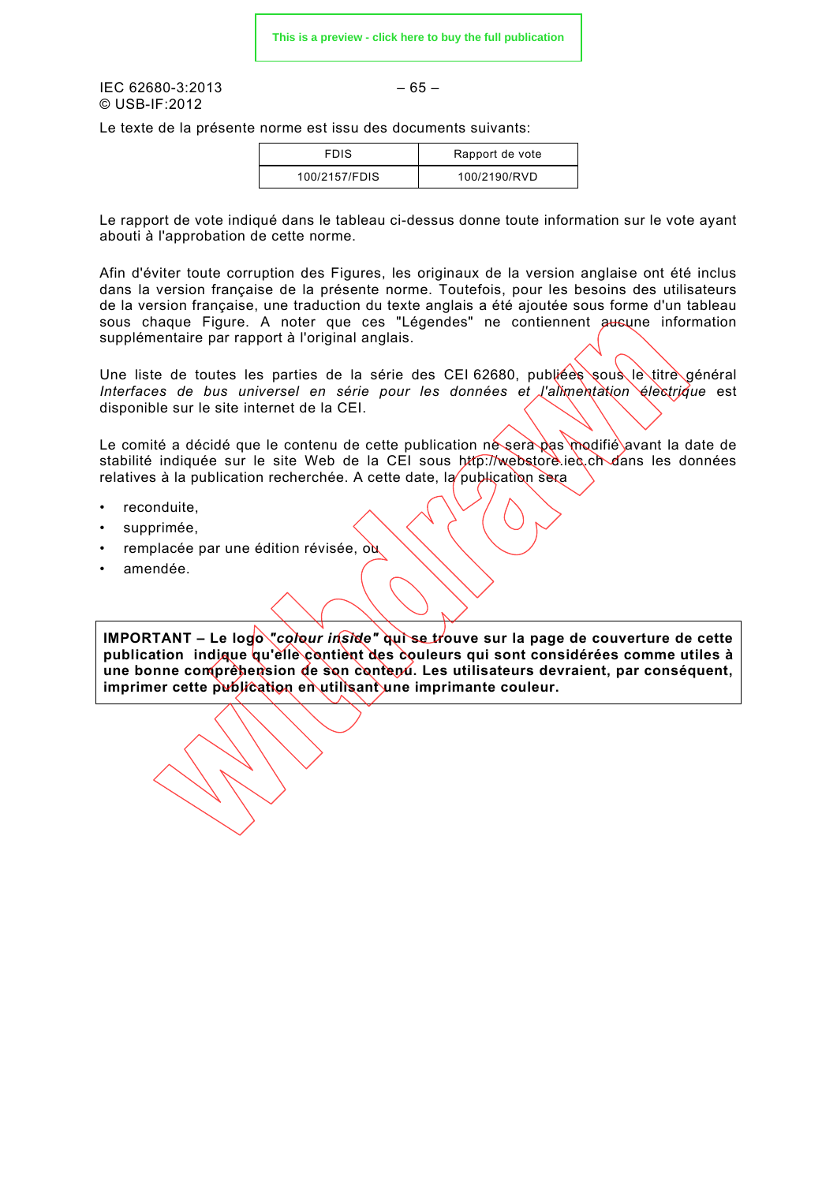$IEC 62680-3:2013$  – 65 – © USB-IF:2012

Le texte de la présente norme est issu des documents suivants:

| <b>FDIS</b>   | Rapport de vote |
|---------------|-----------------|
| 100/2157/FDIS | 100/2190/RVD    |

Le rapport de vote indiqué dans le tableau ci-dessus donne toute information sur le vote ayant abouti à l'approbation de cette norme.

Afin d'éviter toute corruption des Figures, les originaux de la version anglaise ont été inclus dans la version française de la présente norme. Toutefois, pour les besoins des utilisateurs de la version française, une traduction du texte anglais a été ajoutée sous forme d'un tableau sous chaque Figure. A noter que ces "Légendes" ne contiennent aucune information supplémentaire par rapport à l'original anglais.

Une liste de toutes les parties de la série des CEI 62680, publiées sous le titre général *Interfaces de bus universel en série pour les données et l'alimentation électrique* est disponible sur le site internet de la CEI.

Le comité a décidé que le contenu de cette publication né sera pas modifié avant la date de stabilité indiquée sur le site Web de la CEI sous http://webstore.iec.ch dans les données relatives à la publication recherchée. A cette date, la publication sera

- reconduite.
- supprimée,
- remplacée par une édition révisée, ou
- amendée.

**IMPORTANT – Le logo** *"colour inside"* **qui se trouve sur la page de couverture de cette**  publication indique qu'elle contient des couleurs qui sont considérées comme utiles à **une bonne compréhension de son contenu. Les utilisateurs devraient, par conséquent, imprimer cette publication en utilisant une imprimante couleur.**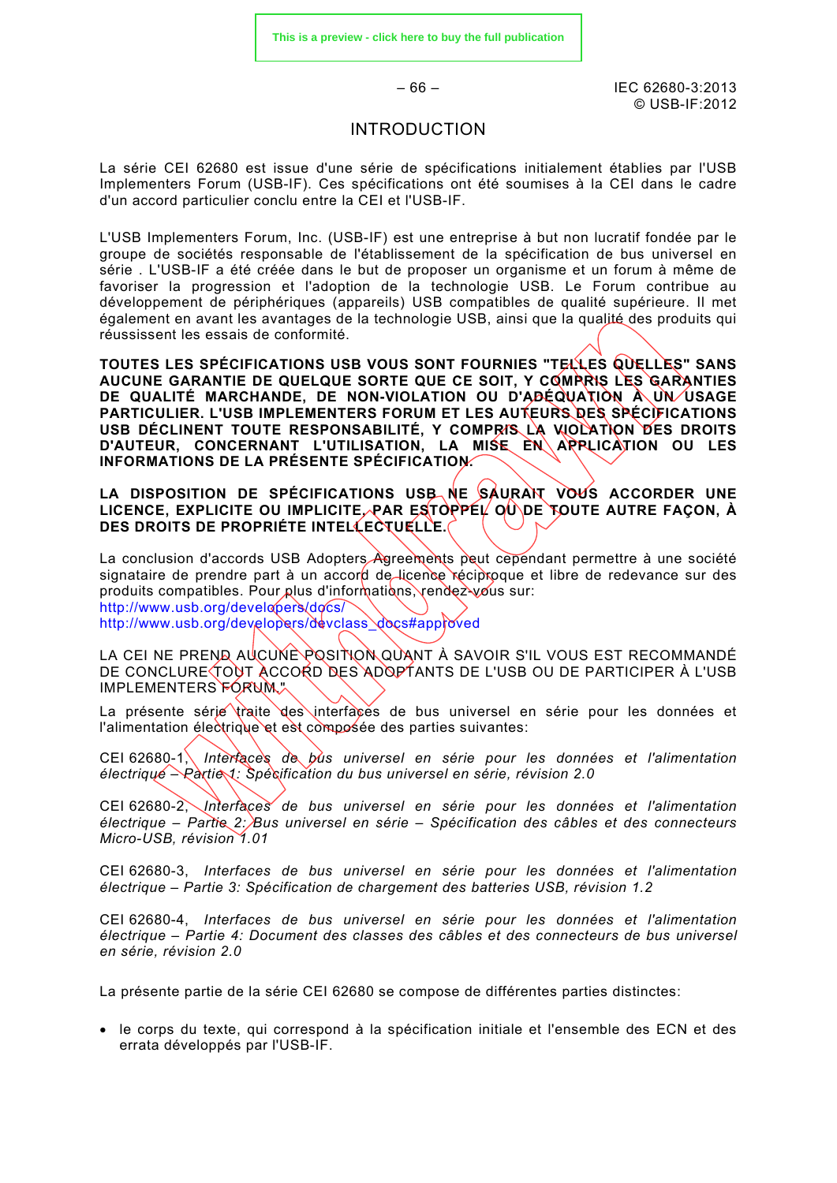$-66 -$  IEC 62680-3:2013 © USB-IF:2012

#### INTRODUCTION

La série CEI 62680 est issue d'une série de spécifications initialement établies par l'USB Implementers Forum (USB-IF). Ces spécifications ont été soumises à la CEI dans le cadre d'un accord particulier conclu entre la CEI et l'USB-IF.

L'USB Implementers Forum, Inc. (USB-IF) est une entreprise à but non lucratif fondée par le groupe de sociétés responsable de l'établissement de la spécification de bus universel en série . L'USB-IF a été créée dans le but de proposer un organisme et un forum à même de favoriser la progression et l'adoption de la technologie USB. Le Forum contribue au développement de périphériques (appareils) USB compatibles de qualité supérieure. Il met également en avant les avantages de la technologie USB, ainsi que la qualité des produits qui réussissent les essais de conformité.

TOUTES LES SPÉCIFICATIONS USB VOUS SONT FOURNIES "TELLES QUELLES" SANS **AUCUNE GARANTIE DE QUELQUE SORTE QUE CE SOIT, Y COMPRIS LES GARANTIES DE QUALITÉ MARCHANDE, DE NON-VIOLATION OU D'ADÉQUATION À UN USAGE PARTICULIER. L'USB IMPLEMENTERS FORUM ET LES AUTEURS DES SPÉCIFICATIONS USB DÉCLINENT TOUTE RESPONSABILITÉ, Y COMPRIS LA VIOLATION DES DROITS D'AUTEUR, CONCERNANT L'UTILISATION, LA MISE EN APPLICATION OU LES INFORMATIONS DE LA PRÉSENTE SPÉCIFICATION.**

#### LA DISPOSITION DE SPÉCIFICATIONS USB NE SAURAIT VOUS ACCORDER UNE LICENCE, EXPLICITE OU IMPLICITE, PAR ESTOPPEL OU DE TOUTE AUTRE FAÇON, À **DES DROITS DE PROPRIÉTE INTELLECTUELLE.**

La conclusion d'accords USB Adopters Agreements peut cependant permettre à une société signataire de prendre part à un accord de licence réciproque et libre de redevance sur des produits compatibles. Pour plus d'informations, rendez-vous sur: <http://www.usb.org/developers/docs/>

[http://www.usb.org/developers/devclass\\_docs#approved](http://www.usb.org/developers/devclass_docs#approved)

LA CEI NE PREND AUCUNE POSITION QUANT À SAVOIR S'IL VOUS EST RECOMMANDÉ DE CONCLURE TOUT ACCORD DES ADOPTANTS DE L'USB OU DE PARTICIPER À L'USB IMPLEMENTERS FORUM."

La présente série traite des interfaces de bus universel en série pour les données et l'alimentation électrique et est composée des parties suivantes:

CEI 62680-1, *Interfaces de bus universel en série pour les données et l'alimentation électrique – Partie 1: Spécification du bus universel en série, révision 2.0*

CEI 62680-2, *Interfaces de bus universel en série pour les données et l'alimentation électrique – Partie 2: Bus universel en série – Spécification des câbles et des connecteurs Micro-USB, révision 1.01*

CEI 62680-3, *Interfaces de bus universel en série pour les données et l'alimentation électrique – Partie 3: Spécification de chargement des batteries USB, révision 1.2*

CEI 62680-4, *Interfaces de bus universel en série pour les données et l'alimentation électrique – Partie 4: Document des classes des câbles et des connecteurs de bus universel en série, révision 2.0*

La présente partie de la série CEI 62680 se compose de différentes parties distinctes:

• le corps du texte, qui correspond à la spécification initiale et l'ensemble des ECN et des errata développés par l'USB-IF.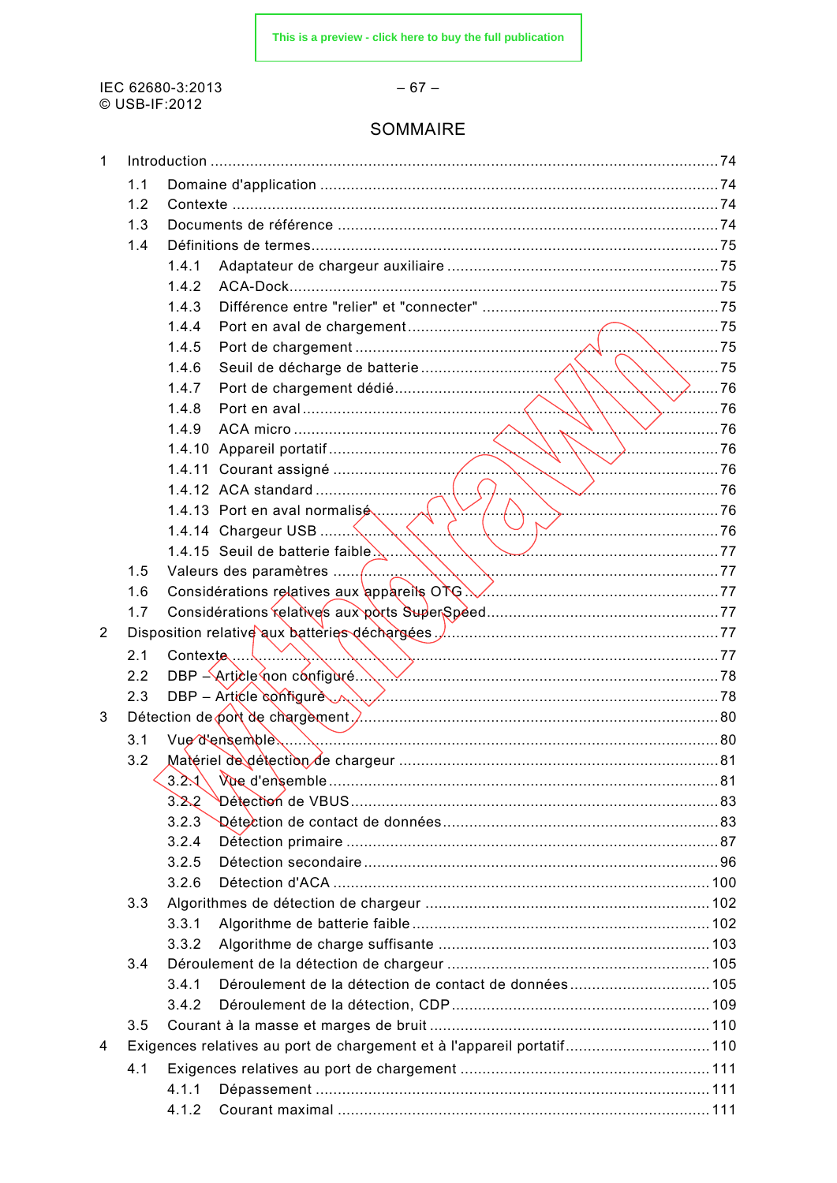IEC 62680-3:2013 © USB-IF:2012

#### $-67-$

#### SOMMAIRE

| 1              |     |                                                                                                                                                                                                                                              |  |
|----------------|-----|----------------------------------------------------------------------------------------------------------------------------------------------------------------------------------------------------------------------------------------------|--|
|                | 1.1 |                                                                                                                                                                                                                                              |  |
|                | 1.2 |                                                                                                                                                                                                                                              |  |
|                | 1.3 |                                                                                                                                                                                                                                              |  |
|                | 1.4 |                                                                                                                                                                                                                                              |  |
|                |     | 1.4.1                                                                                                                                                                                                                                        |  |
|                |     | 1.4.2                                                                                                                                                                                                                                        |  |
|                |     | 1.4.3                                                                                                                                                                                                                                        |  |
|                |     | 1.4.4                                                                                                                                                                                                                                        |  |
|                |     | 1.4.5                                                                                                                                                                                                                                        |  |
|                |     | 1.4.6                                                                                                                                                                                                                                        |  |
|                |     | $\ldots$ . 276<br>1.4.7                                                                                                                                                                                                                      |  |
|                |     | <u>. 76</u><br>1.4.8                                                                                                                                                                                                                         |  |
|                |     | ACA micro<br>1.4.9<br>. 76                                                                                                                                                                                                                   |  |
|                |     | $\diagdown$ )                                                                                                                                                                                                                                |  |
|                |     |                                                                                                                                                                                                                                              |  |
|                |     | $\searrow$ 76                                                                                                                                                                                                                                |  |
|                |     |                                                                                                                                                                                                                                              |  |
|                |     |                                                                                                                                                                                                                                              |  |
|                |     | 1.4.15 Seuil de batterie faible <b>Augustine Marshall (1.4.15 Seuil de batterie faible</b>                                                                                                                                                   |  |
|                | 1.5 |                                                                                                                                                                                                                                              |  |
|                | 1.6 |                                                                                                                                                                                                                                              |  |
|                | 1.7 |                                                                                                                                                                                                                                              |  |
| $\overline{2}$ |     |                                                                                                                                                                                                                                              |  |
|                | 2.1 | $\sim$ . The contract of the contract of the contract of the contract of the contract of the contract of the contract of the contract of the contract of the contract of the contract of the contract of the contract of the co<br>Contexte! |  |
|                | 2.2 |                                                                                                                                                                                                                                              |  |
|                | 2.3 | DBP - Article configure 22 22 22 22 22 22 22 23 24 35 26 27 3                                                                                                                                                                                |  |
| 3              |     |                                                                                                                                                                                                                                              |  |
|                | 3.1 |                                                                                                                                                                                                                                              |  |
|                | 3.2 |                                                                                                                                                                                                                                              |  |
|                |     |                                                                                                                                                                                                                                              |  |
|                |     | 3.22                                                                                                                                                                                                                                         |  |
|                |     | 3.2.3                                                                                                                                                                                                                                        |  |
|                |     | 3.2.4                                                                                                                                                                                                                                        |  |
|                |     | 3.2.5                                                                                                                                                                                                                                        |  |
|                |     | 3.2.6                                                                                                                                                                                                                                        |  |
|                | 3.3 |                                                                                                                                                                                                                                              |  |
|                |     | 3.3.1                                                                                                                                                                                                                                        |  |
|                |     | 3.3.2                                                                                                                                                                                                                                        |  |
|                | 3.4 |                                                                                                                                                                                                                                              |  |
|                |     | Déroulement de la détection de contact de données 105<br>3.4.1                                                                                                                                                                               |  |
|                |     | 3.4.2                                                                                                                                                                                                                                        |  |
|                | 3.5 |                                                                                                                                                                                                                                              |  |
| 4              |     | Exigences relatives au port de chargement et à l'appareil portatif 110                                                                                                                                                                       |  |
|                | 4.1 |                                                                                                                                                                                                                                              |  |
|                |     | 4.1.1                                                                                                                                                                                                                                        |  |
|                |     |                                                                                                                                                                                                                                              |  |
|                |     |                                                                                                                                                                                                                                              |  |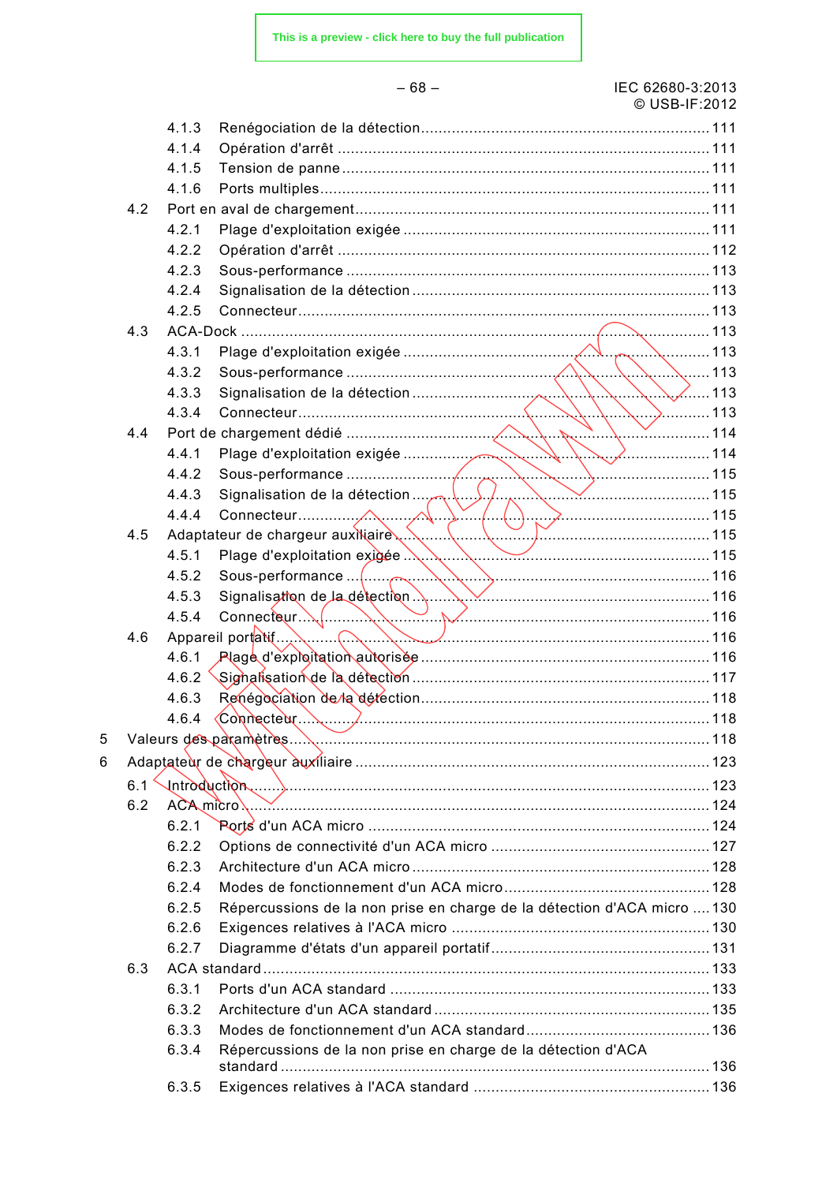# IEC 62680-3:2013

|   |     |       |                                                                                                                                                                                                                                                                                                                                                                                                                                                                              | © USB-IF:2012         |
|---|-----|-------|------------------------------------------------------------------------------------------------------------------------------------------------------------------------------------------------------------------------------------------------------------------------------------------------------------------------------------------------------------------------------------------------------------------------------------------------------------------------------|-----------------------|
|   |     | 4.1.3 |                                                                                                                                                                                                                                                                                                                                                                                                                                                                              |                       |
|   |     | 4.1.4 |                                                                                                                                                                                                                                                                                                                                                                                                                                                                              |                       |
|   |     | 4.1.5 |                                                                                                                                                                                                                                                                                                                                                                                                                                                                              |                       |
|   |     | 4.1.6 |                                                                                                                                                                                                                                                                                                                                                                                                                                                                              |                       |
|   | 4.2 |       |                                                                                                                                                                                                                                                                                                                                                                                                                                                                              |                       |
|   |     | 4.2.1 |                                                                                                                                                                                                                                                                                                                                                                                                                                                                              |                       |
|   |     | 4.2.2 |                                                                                                                                                                                                                                                                                                                                                                                                                                                                              |                       |
|   |     | 4.2.3 |                                                                                                                                                                                                                                                                                                                                                                                                                                                                              |                       |
|   |     | 4.2.4 |                                                                                                                                                                                                                                                                                                                                                                                                                                                                              |                       |
|   |     | 4.2.5 |                                                                                                                                                                                                                                                                                                                                                                                                                                                                              |                       |
|   | 4.3 |       |                                                                                                                                                                                                                                                                                                                                                                                                                                                                              |                       |
|   |     | 4.3.1 |                                                                                                                                                                                                                                                                                                                                                                                                                                                                              | ╲………. 113             |
|   |     | 4.3.2 |                                                                                                                                                                                                                                                                                                                                                                                                                                                                              | $\ldots$ \  113       |
|   |     | 4.3.3 | $\ldots \setminus \ldots$                                                                                                                                                                                                                                                                                                                                                                                                                                                    | $\ldots$ $\ldots$ 113 |
|   |     | 4.3.4 |                                                                                                                                                                                                                                                                                                                                                                                                                                                                              | . 113                 |
|   | 4.4 |       |                                                                                                                                                                                                                                                                                                                                                                                                                                                                              |                       |
|   |     | 4.4.1 |                                                                                                                                                                                                                                                                                                                                                                                                                                                                              |                       |
|   |     | 4.4.2 | $\searrow$                                                                                                                                                                                                                                                                                                                                                                                                                                                                   |                       |
|   |     | 4.4.3 |                                                                                                                                                                                                                                                                                                                                                                                                                                                                              |                       |
|   |     | 4.4.4 |                                                                                                                                                                                                                                                                                                                                                                                                                                                                              |                       |
|   | 4.5 |       | Adaptateur de chargeur auxiliaire<br>.                                                                                                                                                                                                                                                                                                                                                                                                                                       |                       |
|   |     | 4.5.1 | Plage d'exploitation exigée                                                                                                                                                                                                                                                                                                                                                                                                                                                  |                       |
|   |     | 4.5.2 |                                                                                                                                                                                                                                                                                                                                                                                                                                                                              |                       |
|   |     | 4.5.3 |                                                                                                                                                                                                                                                                                                                                                                                                                                                                              |                       |
|   |     | 4.5.4 |                                                                                                                                                                                                                                                                                                                                                                                                                                                                              |                       |
|   | 4.6 |       |                                                                                                                                                                                                                                                                                                                                                                                                                                                                              |                       |
|   |     | 4.6.1 |                                                                                                                                                                                                                                                                                                                                                                                                                                                                              |                       |
|   |     | 4.6.2 |                                                                                                                                                                                                                                                                                                                                                                                                                                                                              |                       |
|   |     | 4.6.3 |                                                                                                                                                                                                                                                                                                                                                                                                                                                                              |                       |
|   |     |       |                                                                                                                                                                                                                                                                                                                                                                                                                                                                              |                       |
|   |     | 4.6.4 |                                                                                                                                                                                                                                                                                                                                                                                                                                                                              |                       |
| 5 |     |       |                                                                                                                                                                                                                                                                                                                                                                                                                                                                              |                       |
| 6 |     |       |                                                                                                                                                                                                                                                                                                                                                                                                                                                                              |                       |
|   | 6.1 |       | $\mathcal{L}_{\text{Intròduction},\ldots,\mathcal{L}_{\text{non-1}}\ldots,\mathcal{L}_{\text{non-1}}\ldots,\mathcal{L}_{\text{non-1}}\ldots,\mathcal{L}_{\text{non-1}}\ldots,\mathcal{L}_{\text{non-1}}\ldots,\mathcal{L}_{\text{non-1}}\ldots,\mathcal{L}_{\text{non-1}}\ldots,\mathcal{L}_{\text{non-1}}\ldots,\mathcal{L}_{\text{non-1}}\ldots,\mathcal{L}_{\text{non-1}}\ldots,\mathcal{L}_{\text{non-1}}\ldots,\mathcal{L}_{\text{non-1}}\ldots,\mathcal{L}_{\text{non$ |                       |
|   | 6.2 |       |                                                                                                                                                                                                                                                                                                                                                                                                                                                                              |                       |
|   |     | 6.2.1 |                                                                                                                                                                                                                                                                                                                                                                                                                                                                              |                       |
|   |     | 6.2.2 |                                                                                                                                                                                                                                                                                                                                                                                                                                                                              |                       |
|   |     | 6.2.3 |                                                                                                                                                                                                                                                                                                                                                                                                                                                                              |                       |
|   |     | 6.2.4 |                                                                                                                                                                                                                                                                                                                                                                                                                                                                              |                       |
|   |     | 6.2.5 | Répercussions de la non prise en charge de la détection d'ACA micro  130                                                                                                                                                                                                                                                                                                                                                                                                     |                       |
|   |     | 6.2.6 |                                                                                                                                                                                                                                                                                                                                                                                                                                                                              |                       |
|   |     | 6.2.7 |                                                                                                                                                                                                                                                                                                                                                                                                                                                                              |                       |
|   | 6.3 |       |                                                                                                                                                                                                                                                                                                                                                                                                                                                                              |                       |
|   |     | 6.3.1 |                                                                                                                                                                                                                                                                                                                                                                                                                                                                              |                       |
|   |     | 6.3.2 |                                                                                                                                                                                                                                                                                                                                                                                                                                                                              |                       |
|   |     | 6.3.3 |                                                                                                                                                                                                                                                                                                                                                                                                                                                                              |                       |
|   |     | 6.3.4 | Répercussions de la non prise en charge de la détection d'ACA                                                                                                                                                                                                                                                                                                                                                                                                                |                       |
|   |     |       |                                                                                                                                                                                                                                                                                                                                                                                                                                                                              |                       |
|   |     | 6.3.5 |                                                                                                                                                                                                                                                                                                                                                                                                                                                                              |                       |

### $-68-$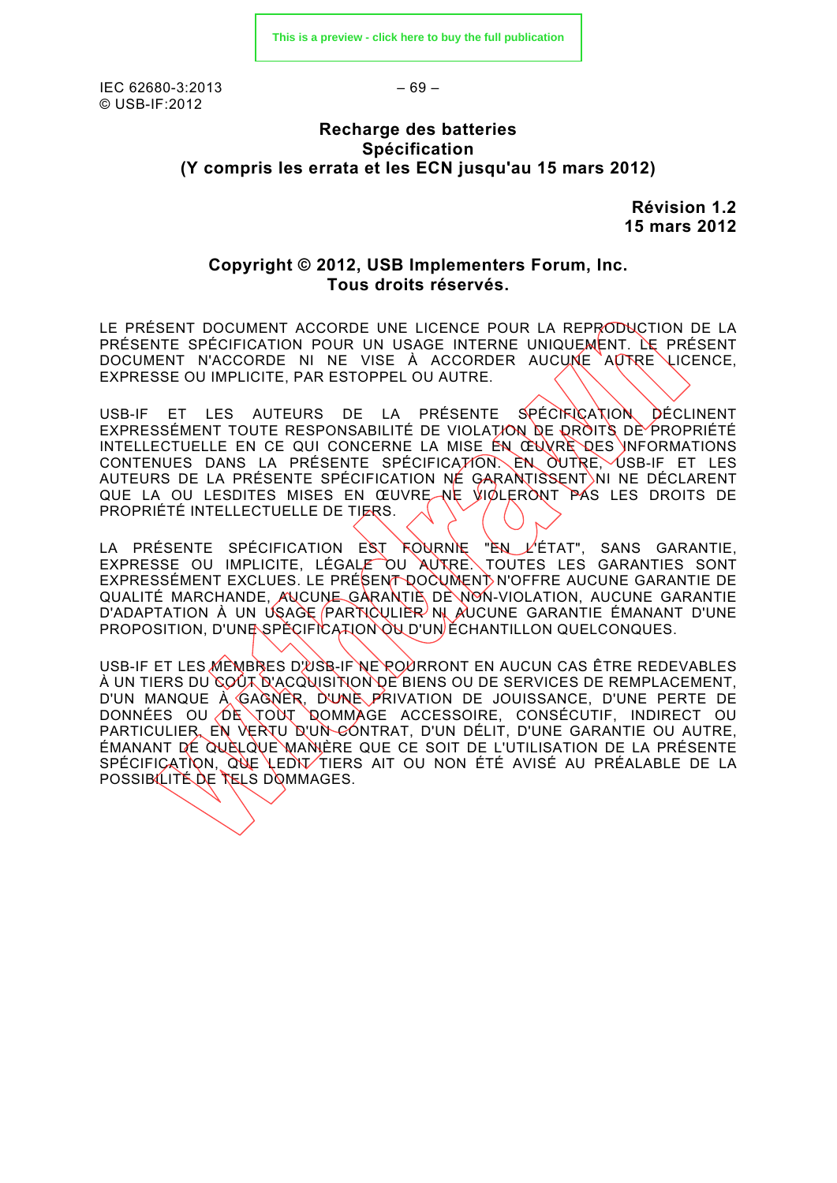$IEC 62680-3:2013$  – 69 – © USB-IF:2012

#### **Recharge des batteries Spécification (Y compris les errata et les ECN jusqu'au 15 mars 2012)**

**Révision 1.2 15 mars 2012**

#### **Copyright © 2012, USB Implementers Forum, Inc. Tous droits réservés.**

LE PRÉSENT DOCUMENT ACCORDE UNE LICENCE POUR LA REPRODUCTION DE LA PRÉSENTE SPÉCIFICATION POUR UN USAGE INTERNE UNIQUEMENT. LE PRÉSENT DOCUMENT N'ACCORDE NI NE VISE À ACCORDER AUCUNE AUTRE LICENCE, EXPRESSE OU IMPLICITE, PAR ESTOPPEL OU AUTRE.

USB-IF ET LES AUTEURS DE LA PRÉSENTE SPÉCIFICATION DÉCLINENT EXPRESSÉMENT TOUTE RESPONSABILITÉ DE VIOLATION DE DROITS DE PROPRIÉTÉ INTELLECTUELLE EN CE QUI CONCERNE LA MISE EN ŒUVRE DES INFORMATIONS CONTENUES DANS LA PRÉSENTE SPÉCIFICATION. EN OUTRE, USB-IF ET LES AUTEURS DE LA PRÉSENTE SPÉCIFICATION NÉ GARANTISSENT NI NE DÉCLARENT QUE LA OU LESDITES MISES EN ŒUVRE NE VIOLERONT PAS LES DROITS DE PROPRIÉTÉ INTELLECTUELLE DE TIERS.

LA PRÉSENTE SPÉCIFICATION EST FOURNIE "EN L'ÉTAT", SANS GARANTIE, EXPRESSE OU IMPLICITE, LÉGALE OU AUTRE. TOUTES LES GARANTIES SONT EXPRESSÉMENT EXCLUES. LE PRÉSENT DOCUMENT N'OFFRE AUCUNE GARANTIE DE QUALITÉ MARCHANDE, AUCUNE GARANTIE DE NON-VIOLATION, AUCUNE GARANTIE D'ADAPTATION À UN USAGE PARTICULIER NI AUCUNE GARANTIE ÉMANANT D'UNE PROPOSITION, D'UNE SPÈCIFICATION OU D'UN ÉCHANTILLON QUELCONQUES.

USB-IF ET LES MEMBRES D'USB-IF NE POURRONT EN AUCUN CAS ÊTRE REDEVABLES À UN TIERS DU COÛT D'ACQUISITION DE BIENS OU DE SERVICES DE REMPLACEMENT. D'UN MANQUE À GAGNER, D'UNE PRIVATION DE JOUISSANCE, D'UNE PERTE DE DONNÉES OU DE TOUT DOMMAGE ACCESSOIRE, CONSÉCUTIF, INDIRECT OU PARTICULIER, EN VERTU D'UN CONTRAT, D'UN DÉLIT, D'UNE GARANTIE OU AUTRE, ÉMANANT DE QUELQUE MANIÈRE QUE CE SOIT DE L'UTILISATION DE LA PRÉSENTE SPÉCIFICATION, QUE LEDIT⁄TIERS AIT OU NON ÉTÉ AVISÉ AU PRÉALABLE DE LA POSSIBILITÉ DE TELS DQMMAGES.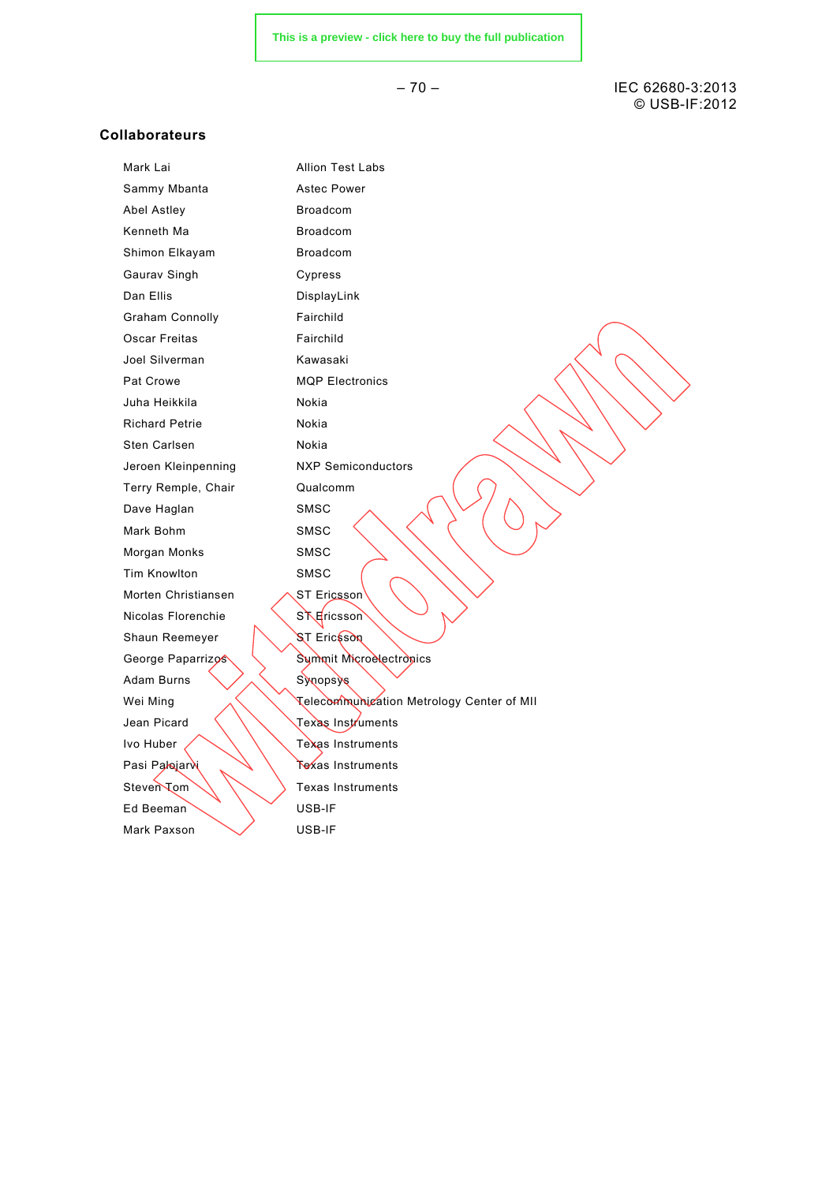– 70 – IEC 62680-3:2013 © USB-IF:2012

#### **Collaborateurs**

| Mark Lai               | <b>Allion Test Labs</b>                   |
|------------------------|-------------------------------------------|
| Sammy Mbanta           | Astec Power                               |
| Abel Astley            | <b>Broadcom</b>                           |
| Kenneth Ma             | <b>Broadcom</b>                           |
| Shimon Elkayam         | <b>Broadcom</b>                           |
| Gaurav Singh           | Cypress                                   |
| Dan Ellis              | DisplayLink                               |
| <b>Graham Connolly</b> | Fairchild                                 |
| <b>Oscar Freitas</b>   | Fairchild                                 |
| Joel Silverman         | Kawasaki                                  |
| Pat Crowe              | <b>MQP Electronics</b>                    |
| Juha Heikkila          | Nokia                                     |
| <b>Richard Petrie</b>  | Nokia                                     |
| Sten Carlsen           | Nokia                                     |
| Jeroen Kleinpenning    | <b>NXP Semiconductors</b>                 |
| Terry Remple, Chair    | Qualcomm                                  |
| Dave Haglan            | <b>SMSC</b>                               |
| Mark Bohm              | <b>SMSC</b>                               |
| Morgan Monks           | <b>SMSC</b>                               |
| <b>Tim Knowlton</b>    | SMSC                                      |
| Morten Christiansen    | ST Ericsson                               |
| Nicolas Florenchie     | <b>ST</b> ericsson                        |
| Shaun Reemeyer         | <b>ST Ericsson</b>                        |
| George Paparrizos      | Symmit Microelectronics                   |
| <b>Adam Burns</b>      | <b>Synopsys</b>                           |
| Wei Ming               | Telecommunication Metrology Center of MII |
| Jean Picard            | Texas Instruments                         |
| Ivo Huber              | Texas Instruments                         |
| Pasi Palojarvi         | Texas Instruments                         |
| Steven Tom             | <b>Texas Instruments</b>                  |
| Ed Beeman              | USB-IF                                    |
| Mark Paxson            | USB-IF                                    |
|                        |                                           |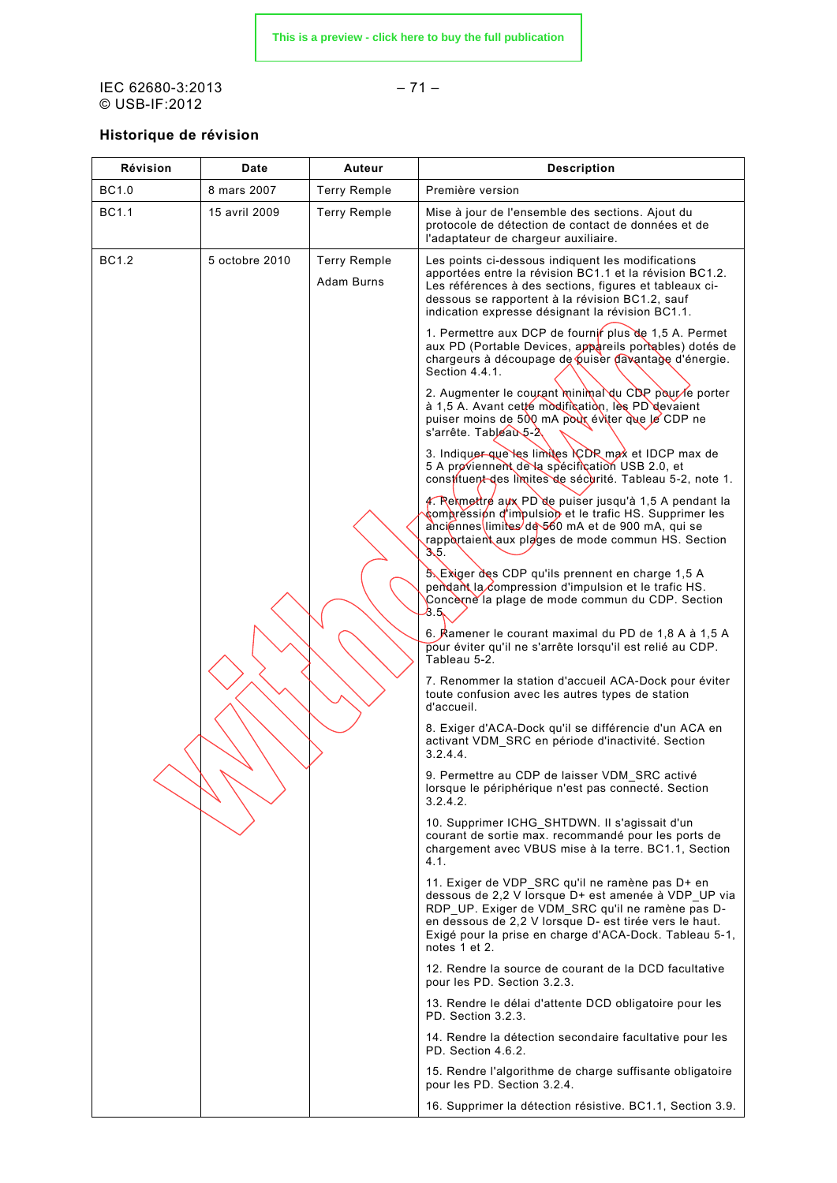IEC 62680-3:2013 – 71 – © USB-IF:2012

#### **Historique de révision**

| <b>Révision</b> | Date           | Auteur                            | <b>Description</b>                                                                                                                                                                                                                                                                              |
|-----------------|----------------|-----------------------------------|-------------------------------------------------------------------------------------------------------------------------------------------------------------------------------------------------------------------------------------------------------------------------------------------------|
| BC1.0           | 8 mars 2007    | <b>Terry Remple</b>               | Première version                                                                                                                                                                                                                                                                                |
| <b>BC1.1</b>    | 15 avril 2009  | Terry Remple                      | Mise à jour de l'ensemble des sections. Ajout du<br>protocole de détection de contact de données et de<br>l'adaptateur de chargeur auxiliaire.                                                                                                                                                  |
| <b>BC1.2</b>    | 5 octobre 2010 | <b>Terry Remple</b><br>Adam Burns | Les points ci-dessous indiquent les modifications<br>apportées entre la révision BC1.1 et la révision BC1.2.<br>Les références à des sections, figures et tableaux ci-<br>dessous se rapportent à la révision BC1.2, sauf<br>indication expresse désignant la révision BC1.1.                   |
|                 |                |                                   | 1. Permettre aux DCP de fournir plus de 1,5 A. Permet<br>aux PD (Portable Devices, appareils portables) dotés de<br>chargeurs à découpage de puiser davantage d'énergie.<br>Section 4.4.1.                                                                                                      |
|                 |                |                                   | 2. Augmenter le courant minimal du CDP pour le porter<br>à 1,5 A. Avant cetté modification, les PD devaient<br>puiser moins de 500 mA pour éviter que le CDP ne<br>s'arrête. Tableau 5-2                                                                                                        |
|                 |                |                                   | 3. Indiquer que les limites ICDR max et IDCP max de<br>5 A proviennent de la spécification USB 2.0, et<br>constituent des limites de sécurité. Tableau 5-2, note 1.                                                                                                                             |
|                 |                |                                   | 4. Rekmettre aux PD de puiser jusqu'à 1,5 A pendant la<br>compression d'impulsion et le trafic HS. Supprimer les<br>anciennes limites de 560 mA et de 900 mA, qui se<br>rapportaient aux plages de mode commun HS. Section<br>$\mathcal{N}$                                                     |
|                 |                |                                   | 5. Exiger des CDP qu'ils prennent en charge 1,5 A<br>pendant la compression d'impulsion et le trafic HS.<br>Concerne la plage de mode commun du CDP. Section<br>3.5.                                                                                                                            |
|                 |                |                                   | 6. Ramener le courant maximal du PD de 1,8 A à 1,5 A<br>pour éviter qu'il ne s'arrête lorsqu'il est relié au CDP.<br>Tableau 5-2.                                                                                                                                                               |
|                 |                |                                   | 7. Renommer la station d'accueil ACA-Dock pour éviter<br>toute confusion avec les autres types de station<br>d'accueil.                                                                                                                                                                         |
|                 |                |                                   | 8. Exiger d'ACA-Dock qu'il se différencie d'un ACA en<br>activant VDM_SRC en période d'inactivité. Section<br>3.2.4.4.                                                                                                                                                                          |
|                 |                |                                   | 9. Permettre au CDP de laisser VDM SRC activé<br>lorsque le périphérique n'est pas connecté. Section<br>3.2.4.2.                                                                                                                                                                                |
|                 |                |                                   | 10. Supprimer ICHG_SHTDWN. Il s'agissait d'un<br>courant de sortie max. recommandé pour les ports de<br>chargement avec VBUS mise à la terre. BC1.1, Section<br>4.1.                                                                                                                            |
|                 |                |                                   | 11. Exiger de VDP SRC qu'il ne ramène pas D+ en<br>dessous de 2,2 V lorsque D+ est amenée à VDP_UP via<br>RDP_UP. Exiger de VDM_SRC qu'il ne ramène pas D-<br>en dessous de 2,2 V lorsque D- est tirée vers le haut.<br>Exigé pour la prise en charge d'ACA-Dock. Tableau 5-1,<br>notes 1 et 2. |
|                 |                |                                   | 12. Rendre la source de courant de la DCD facultative<br>pour les PD. Section 3.2.3.                                                                                                                                                                                                            |
|                 |                |                                   | 13. Rendre le délai d'attente DCD obligatoire pour les<br>PD. Section 3.2.3.                                                                                                                                                                                                                    |
|                 |                |                                   | 14. Rendre la détection secondaire facultative pour les<br>PD. Section 4.6.2.                                                                                                                                                                                                                   |
|                 |                |                                   | 15. Rendre l'algorithme de charge suffisante obligatoire<br>pour les PD. Section 3.2.4.                                                                                                                                                                                                         |
|                 |                |                                   | 16. Supprimer la détection résistive. BC1.1, Section 3.9.                                                                                                                                                                                                                                       |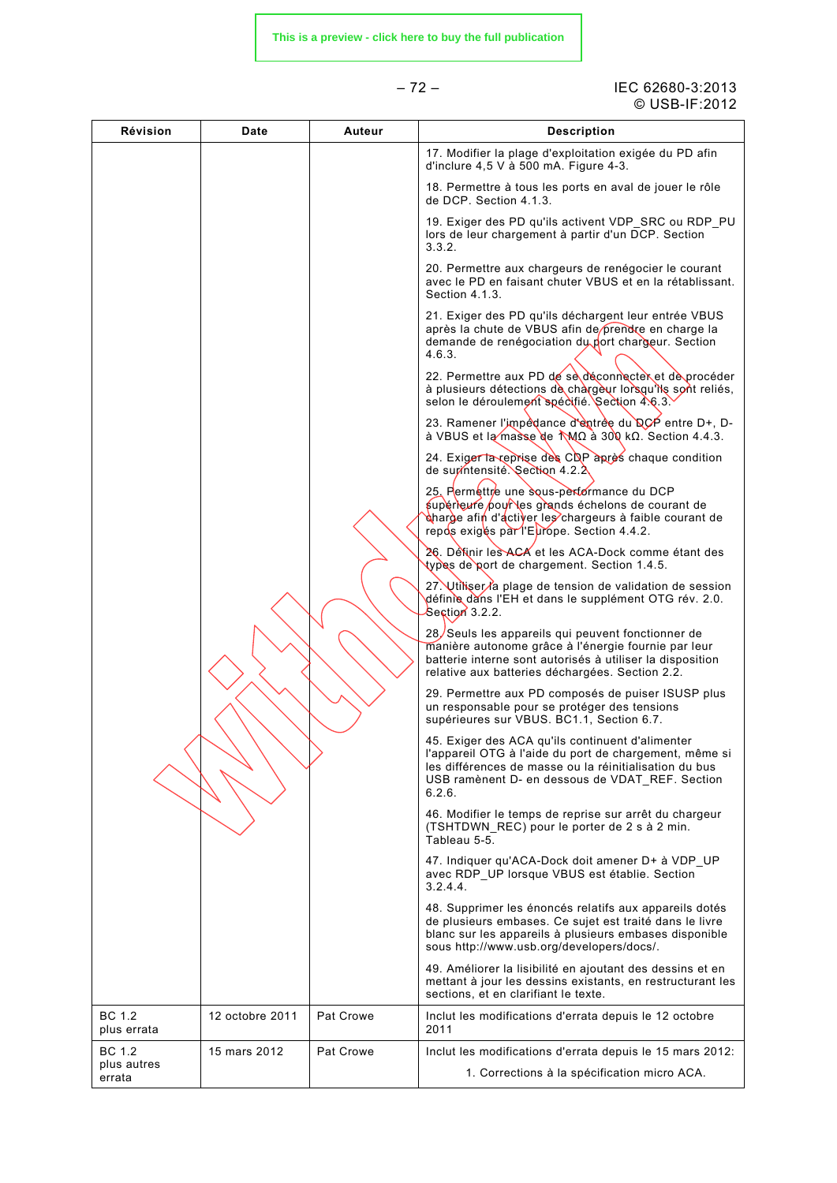– 72 – IEC 62680-3:2013 © USB-IF:2012

| Révision              | Date            | Auteur    | <b>Description</b>                                                                                                                                                                                                                |
|-----------------------|-----------------|-----------|-----------------------------------------------------------------------------------------------------------------------------------------------------------------------------------------------------------------------------------|
|                       |                 |           | 17. Modifier la plage d'exploitation exigée du PD afin<br>d'inclure $4.5$ V à $500$ mA. Figure $4-3$ .                                                                                                                            |
|                       |                 |           | 18. Permettre à tous les ports en aval de jouer le rôle<br>de DCP. Section 4.1.3.                                                                                                                                                 |
|                       |                 |           | 19. Exiger des PD qu'ils activent VDP_SRC ou RDP_PU<br>lors de leur chargement à partir d'un DCP. Section<br>3.3.2.                                                                                                               |
|                       |                 |           | 20. Permettre aux chargeurs de renégocier le courant<br>avec le PD en faisant chuter VBUS et en la rétablissant.<br>Section 4.1.3.                                                                                                |
|                       |                 |           | 21. Exiger des PD qu'ils déchargent leur entrée VBUS<br>après la chute de VBUS afin de prendre en charge la<br>demande de renégociation du port chargeur. Section<br>4.6.3.                                                       |
|                       |                 |           | 22. Permettre aux PD de se déconnecter et de procéder<br>à plusieurs détections de chargeur lorsqu'ils sont reliés,<br>selon le déroulement spécifié. Section 4.6.3                                                               |
|                       |                 |           | 23. Ramener l'impédance d'entrée du DCP entre D+, D-<br>à VBUS et la masse de $N$ MΩ à 300 kΩ. Section 4.4.3.                                                                                                                     |
|                       |                 |           | 24. Exiger la reprise des CDP après chaque condition<br>de surintensité. Section 4.2.2                                                                                                                                            |
|                       |                 |           | 25. Permettre une sous-performance du DCP<br>supérieure pour les grands échelons de courant de<br><b>Sharge afin d'activer les chargeurs à faible courant de</b><br>repos exigés par l'Europe. Section 4.4.2.                     |
|                       |                 |           | 26. Définir les ACA et les ACA-Dock comme étant des<br>types de port de chargement. Section 1.4.5.                                                                                                                                |
|                       |                 |           | 27. Utiliser la plage de tension de validation de session<br>définie dans l'EH et dans le supplément OTG rév. 2.0.<br>Section $3.2.2$ .                                                                                           |
|                       |                 |           | 28/Seuls les appareils qui peuvent fonctionner de<br>manière autonome grâce à l'énergie fournie par leur<br>batterie interne sont autorisés à utiliser la disposition<br>relative aux batteries déchargées. Section 2.2.          |
|                       |                 |           | 29. Permettre aux PD composés de puiser ISUSP plus<br>un responsable pour se protéger des tensions<br>supérieures sur VBUS. BC1.1, Section 6.7.                                                                                   |
|                       |                 |           | 45. Exiger des ACA qu'ils continuent d'alimenter<br>l'appareil OTG à l'aide du port de chargement, même si<br>les différences de masse ou la réinitialisation du bus<br>USB ramènent D- en dessous de VDAT REF. Section<br>6.2.6. |
|                       |                 |           | 46. Modifier le temps de reprise sur arrêt du chargeur<br>(TSHTDWN REC) pour le porter de 2 s à 2 min.<br>Tableau 5-5.                                                                                                            |
|                       |                 |           | 47. Indiquer qu'ACA-Dock doit amener D+ à VDP UP<br>avec RDP UP lorsque VBUS est établie. Section<br>3.2.4.4.                                                                                                                     |
|                       |                 |           | 48. Supprimer les énoncés relatifs aux appareils dotés<br>de plusieurs embases. Ce sujet est traité dans le livre<br>blanc sur les appareils à plusieurs embases disponible<br>sous http://www.usb.org/developers/docs/.          |
|                       |                 |           | 49. Améliorer la lisibilité en ajoutant des dessins et en<br>mettant à jour les dessins existants, en restructurant les<br>sections, et en clarifiant le texte.                                                                   |
| BC 1.2<br>plus errata | 12 octobre 2011 | Pat Crowe | Inclut les modifications d'errata depuis le 12 octobre<br>2011                                                                                                                                                                    |
| BC 1.2                | 15 mars 2012    | Pat Crowe | Inclut les modifications d'errata depuis le 15 mars 2012:                                                                                                                                                                         |
| plus autres<br>errata |                 |           | 1. Corrections à la spécification micro ACA.                                                                                                                                                                                      |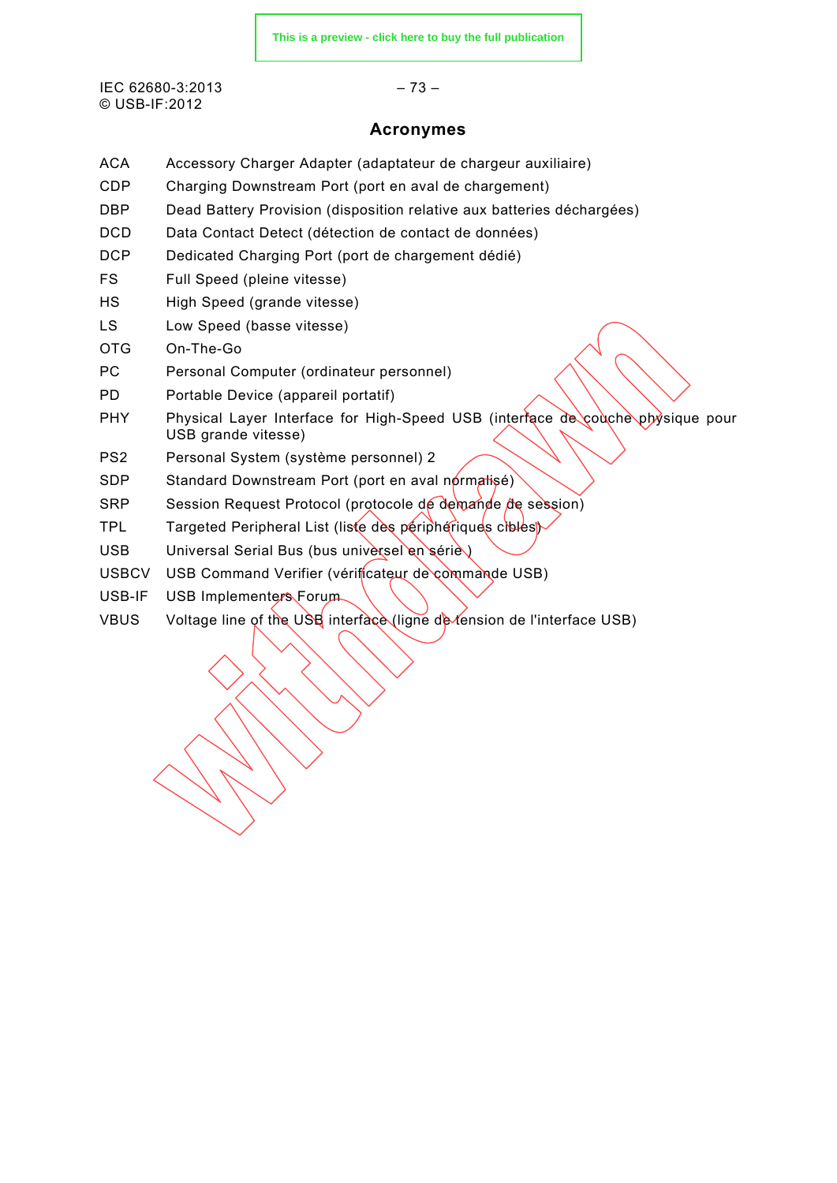IEC 62680-3:2013 – 73 – © USB-IF:2012

#### **Acronymes**

- ACA Accessory Charger Adapter (adaptateur de chargeur auxiliaire)
- CDP Charging Downstream Port (port en aval de chargement)
- DBP Dead Battery Provision (disposition relative aux batteries déchargées)
- DCD Data Contact Detect (détection de contact de données)
- DCP Dedicated Charging Port (port de chargement dédié)
- FS Full Speed (pleine vitesse)
- HS High Speed (grande vitesse)
- LS Low Speed (basse vitesse)
- OTG On-The-Go
- PC Personal Computer (ordinateur personnel)
- PD Portable Device (appareil portatif)
- PHY Physical Layer Interface for High-Speed USB (interrace de couche physique pour USB grande vitesse)
- PS2 Personal System (système personnel) 2
- SDP Standard Downstream Port (port en aval normalisé)
- SRP Session Request Protocol (protocole de demande de session)
- TPL Targeted Peripheral List (liste des périphériques cibles)
- USB Universal Serial Bus (bus universel en série )
- USBCV USB Command Verifier (vérificateur de commande USB)
- USB-IF USB Implementers Forum
- VBUS Voltage line of the USB interface (ligne de tension de l'interface USB)